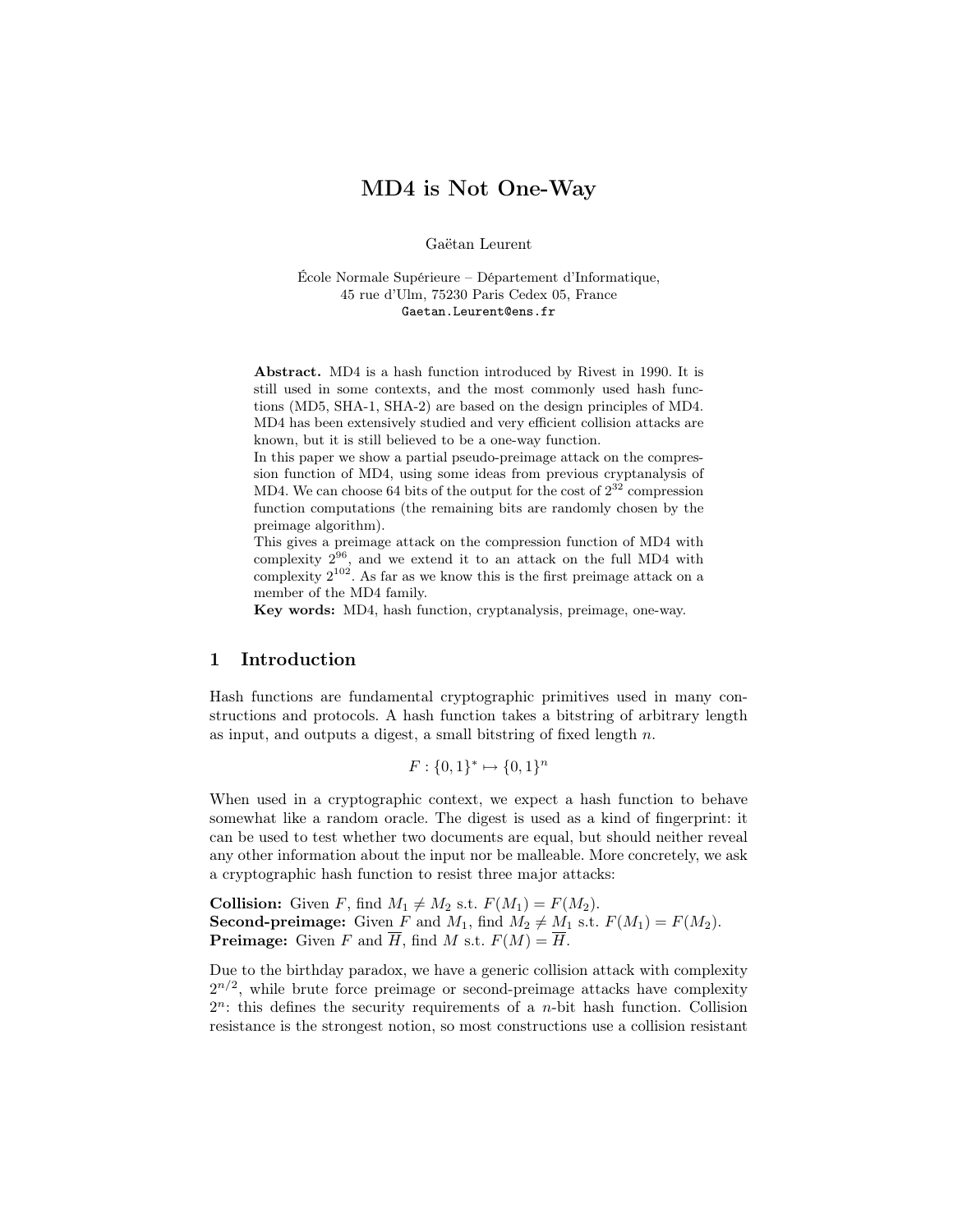# MD4 is Not One-Way

Gaëtan Leurent

École Normale Supérieure – Département d'Informatique, 45 rue d'Ulm, 75230 Paris Cedex 05, France Gaetan.Leurent@ens.fr

Abstract. MD4 is a hash function introduced by Rivest in 1990. It is still used in some contexts, and the most commonly used hash functions (MD5, SHA-1, SHA-2) are based on the design principles of MD4. MD4 has been extensively studied and very efficient collision attacks are known, but it is still believed to be a one-way function.

In this paper we show a partial pseudo-preimage attack on the compression function of MD4, using some ideas from previous cryptanalysis of MD4. We can choose 64 bits of the output for the cost of  $2^{32}$  compression function computations (the remaining bits are randomly chosen by the preimage algorithm).

This gives a preimage attack on the compression function of MD4 with complexity  $2^{96}$ , and we extend it to an attack on the full MD4 with complexity  $2^{102}$ . As far as we know this is the first preimage attack on a member of the MD4 family.

Key words: MD4, hash function, cryptanalysis, preimage, one-way.

## 1 Introduction

Hash functions are fundamental cryptographic primitives used in many constructions and protocols. A hash function takes a bitstring of arbitrary length as input, and outputs a digest, a small bitstring of fixed length n.

 $F: \{0,1\}^* \mapsto \{0,1\}^n$ 

When used in a cryptographic context, we expect a hash function to behave somewhat like a random oracle. The digest is used as a kind of fingerprint: it can be used to test whether two documents are equal, but should neither reveal any other information about the input nor be malleable. More concretely, we ask a cryptographic hash function to resist three major attacks:

**Collision:** Given F, find  $M_1 \neq M_2$  s.t.  $F(M_1) = F(M_2)$ . **Second-preimage:** Given  $\overline{F}$  and  $M_1$ , find  $M_2 \neq \underline{M}_1$  s.t.  $F(M_1) = F(M_2)$ . **Preimage:** Given F and  $\overline{H}$ , find M s.t.  $F(M) = \overline{H}$ .

Due to the birthday paradox, we have a generic collision attack with complexity  $2^{n/2}$ , while brute force preimage or second-preimage attacks have complexity  $2^n$ : this defines the security requirements of a *n*-bit hash function. Collision resistance is the strongest notion, so most constructions use a collision resistant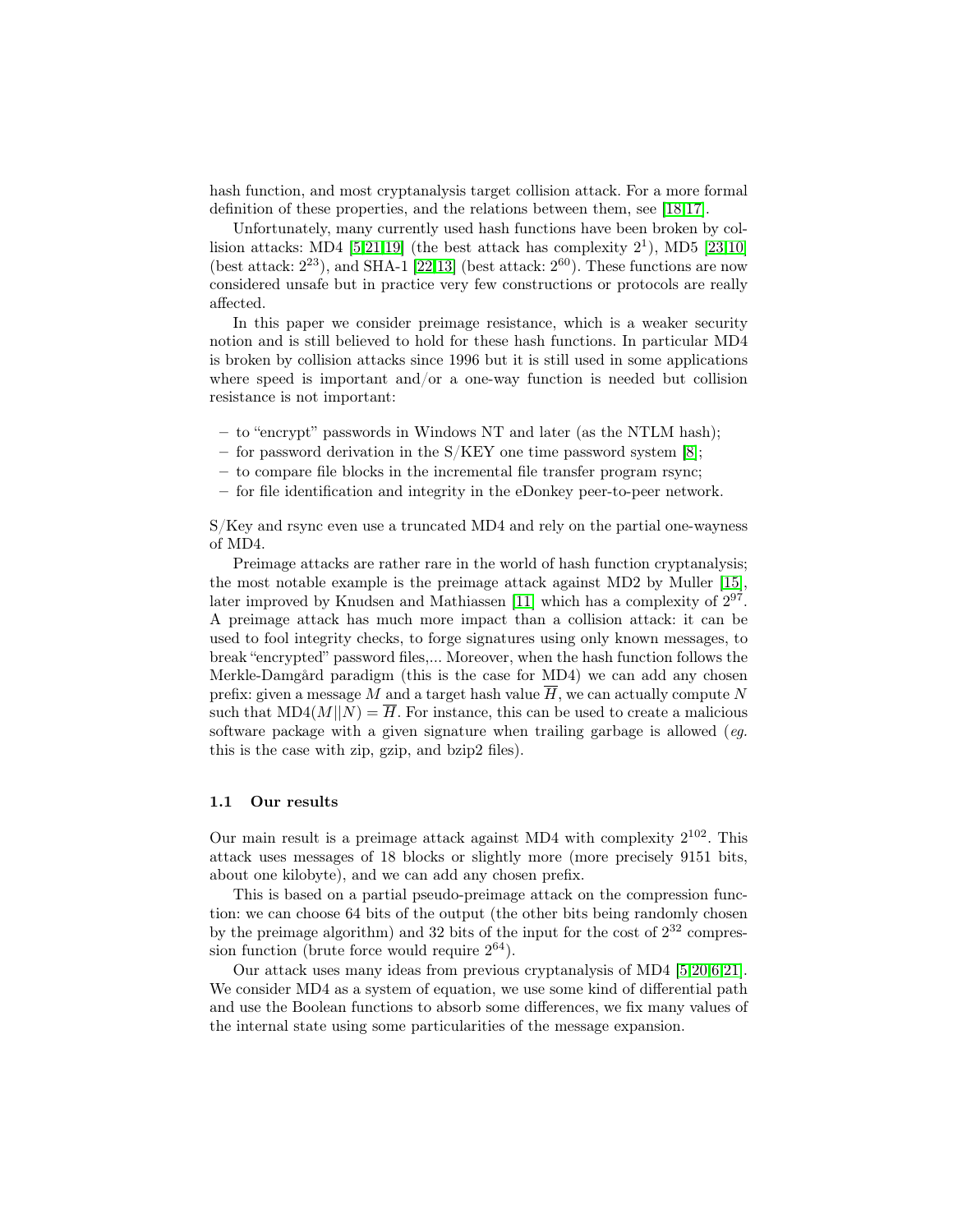hash function, and most cryptanalysis target collision attack. For a more formal definition of these properties, and the relations between them, see [\[18,](#page-14-0)[17\]](#page-14-1).

Unfortunately, many currently used hash functions have been broken by collision attacks: MD4  $[5,21,19]$  $[5,21,19]$  $[5,21,19]$  (the best attack has complexity  $2^1$ ), MD5  $[23,10]$  $[23,10]$ (best attack:  $2^{23}$ ), and SHA-1 [\[22,](#page-14-6)[13\]](#page-14-7) (best attack:  $2^{60}$ ). These functions are now considered unsafe but in practice very few constructions or protocols are really affected.

In this paper we consider preimage resistance, which is a weaker security notion and is still believed to hold for these hash functions. In particular MD4 is broken by collision attacks since 1996 but it is still used in some applications where speed is important and/or a one-way function is needed but collision resistance is not important:

- to "encrypt" passwords in Windows NT and later (as the NTLM hash);
- for password derivation in the  $S/KEY$  one time password system [\[8\]](#page-14-8);
- to compare file blocks in the incremental file transfer program rsync;
- for file identification and integrity in the eDonkey peer-to-peer network.

S/Key and rsync even use a truncated MD4 and rely on the partial one-wayness of MD4.

Preimage attacks are rather rare in the world of hash function cryptanalysis; the most notable example is the preimage attack against MD2 by Muller [\[15\]](#page-14-9), later improved by Knudsen and Mathiassen [\[11\]](#page-14-10) which has a complexity of  $2^{97}$ . A preimage attack has much more impact than a collision attack: it can be used to fool integrity checks, to forge signatures using only known messages, to break "encrypted" password files,... Moreover, when the hash function follows the Merkle-Damgård paradigm (this is the case for MD4) we can add any chosen prefix: given a message M and a target hash value  $\overline{H}$ , we can actually compute N such that  $MD4(M||N) = \overline{H}$ . For instance, this can be used to create a malicious software package with a given signature when trailing garbage is allowed (eg. this is the case with zip, gzip, and bzip2 files).

### 1.1 Our results

Our main result is a preimage attack against MD4 with complexity  $2^{102}$ . This attack uses messages of 18 blocks or slightly more (more precisely 9151 bits, about one kilobyte), and we can add any chosen prefix.

This is based on a partial pseudo-preimage attack on the compression function: we can choose 64 bits of the output (the other bits being randomly chosen by the preimage algorithm) and 32 bits of the input for the cost of  $2^{32}$  compression function (brute force would require  $2^{64}$ ).

Our attack uses many ideas from previous cryptanalysis of MD4 [\[5,](#page-13-0)[20,](#page-14-11)[6,](#page-13-1)[21\]](#page-14-2). We consider MD4 as a system of equation, we use some kind of differential path and use the Boolean functions to absorb some differences, we fix many values of the internal state using some particularities of the message expansion.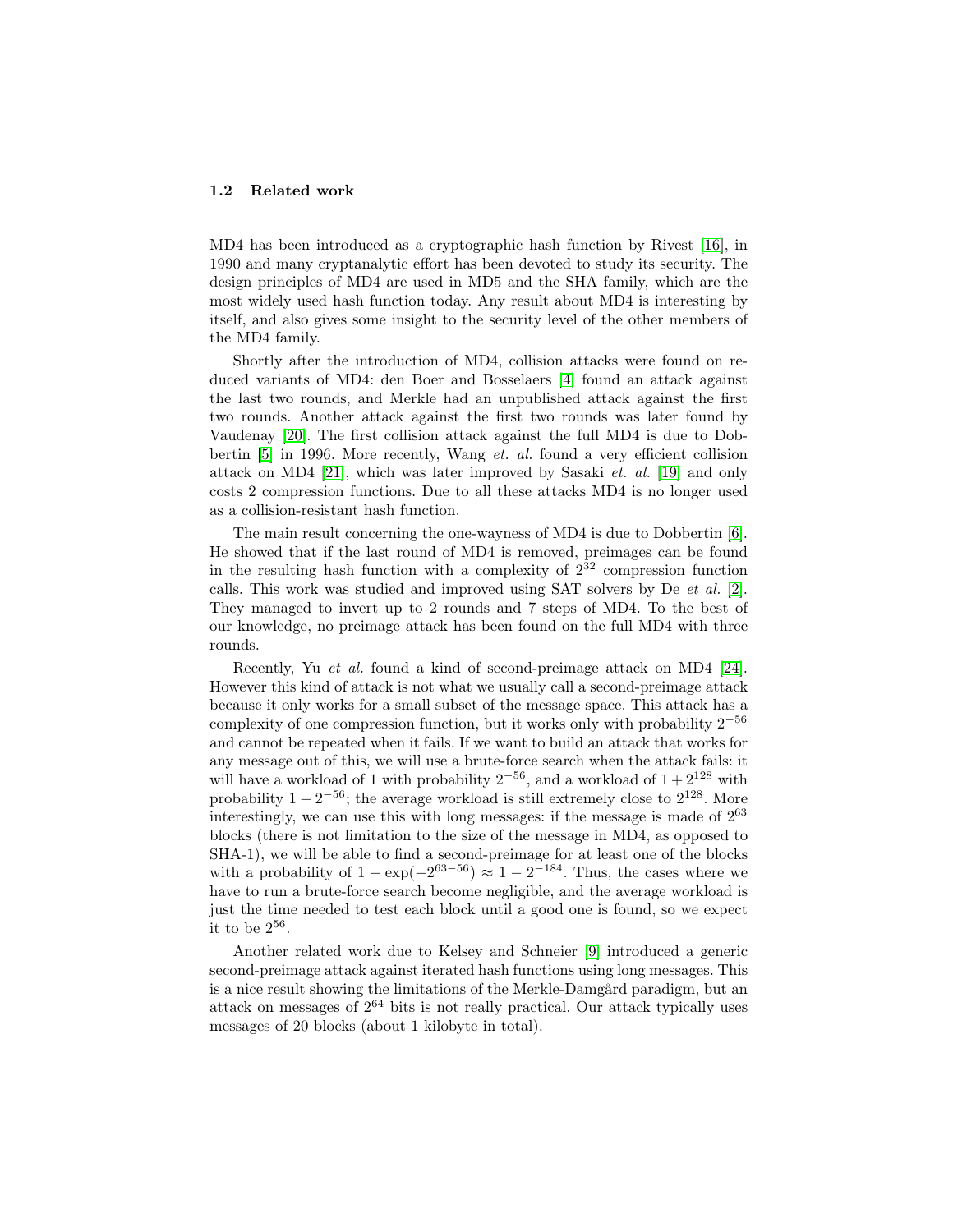#### 1.2 Related work

MD4 has been introduced as a cryptographic hash function by Rivest [\[16\]](#page-14-12), in 1990 and many cryptanalytic effort has been devoted to study its security. The design principles of MD4 are used in MD5 and the SHA family, which are the most widely used hash function today. Any result about MD4 is interesting by itself, and also gives some insight to the security level of the other members of the MD4 family.

Shortly after the introduction of MD4, collision attacks were found on reduced variants of MD4: den Boer and Bosselaers [\[4\]](#page-13-2) found an attack against the last two rounds, and Merkle had an unpublished attack against the first two rounds. Another attack against the first two rounds was later found by Vaudenay [\[20\]](#page-14-11). The first collision attack against the full MD4 is due to Dobbertin [\[5\]](#page-13-0) in 1996. More recently, Wang et. al. found a very efficient collision attack on MD4 [\[21\]](#page-14-2), which was later improved by Sasaki et. al. [\[19\]](#page-14-3) and only costs 2 compression functions. Due to all these attacks MD4 is no longer used as a collision-resistant hash function.

The main result concerning the one-wayness of MD4 is due to Dobbertin [\[6\]](#page-13-1). He showed that if the last round of MD4 is removed, preimages can be found in the resulting hash function with a complexity of  $2^{32}$  compression function calls. This work was studied and improved using SAT solvers by De et al. [\[2\]](#page-13-3). They managed to invert up to 2 rounds and 7 steps of MD4. To the best of our knowledge, no preimage attack has been found on the full MD4 with three rounds.

Recently, Yu et al. found a kind of second-preimage attack on MD4 [\[24\]](#page-14-13). However this kind of attack is not what we usually call a second-preimage attack because it only works for a small subset of the message space. This attack has a complexity of one compression function, but it works only with probability  $2^{-56}$ and cannot be repeated when it fails. If we want to build an attack that works for any message out of this, we will use a brute-force search when the attack fails: it will have a workload of 1 with probability  $2^{-56}$ , and a workload of  $1+2^{128}$  with probability  $1 - 2^{-56}$ ; the average workload is still extremely close to  $2^{128}$ . More interestingly, we can use this with long messages: if the message is made of  $2^{63}$ blocks (there is not limitation to the size of the message in MD4, as opposed to SHA-1), we will be able to find a second-preimage for at least one of the blocks with a probability of  $1 - \exp(-2^{63-56}) \approx 1 - 2^{-184}$ . Thus, the cases where we have to run a brute-force search become negligible, and the average workload is just the time needed to test each block until a good one is found, so we expect it to be  $2^{56}$ .

Another related work due to Kelsey and Schneier [\[9\]](#page-14-14) introduced a generic second-preimage attack against iterated hash functions using long messages. This is a nice result showing the limitations of the Merkle-Damgård paradigm, but an attack on messages of 2 <sup>64</sup> bits is not really practical. Our attack typically uses messages of 20 blocks (about 1 kilobyte in total).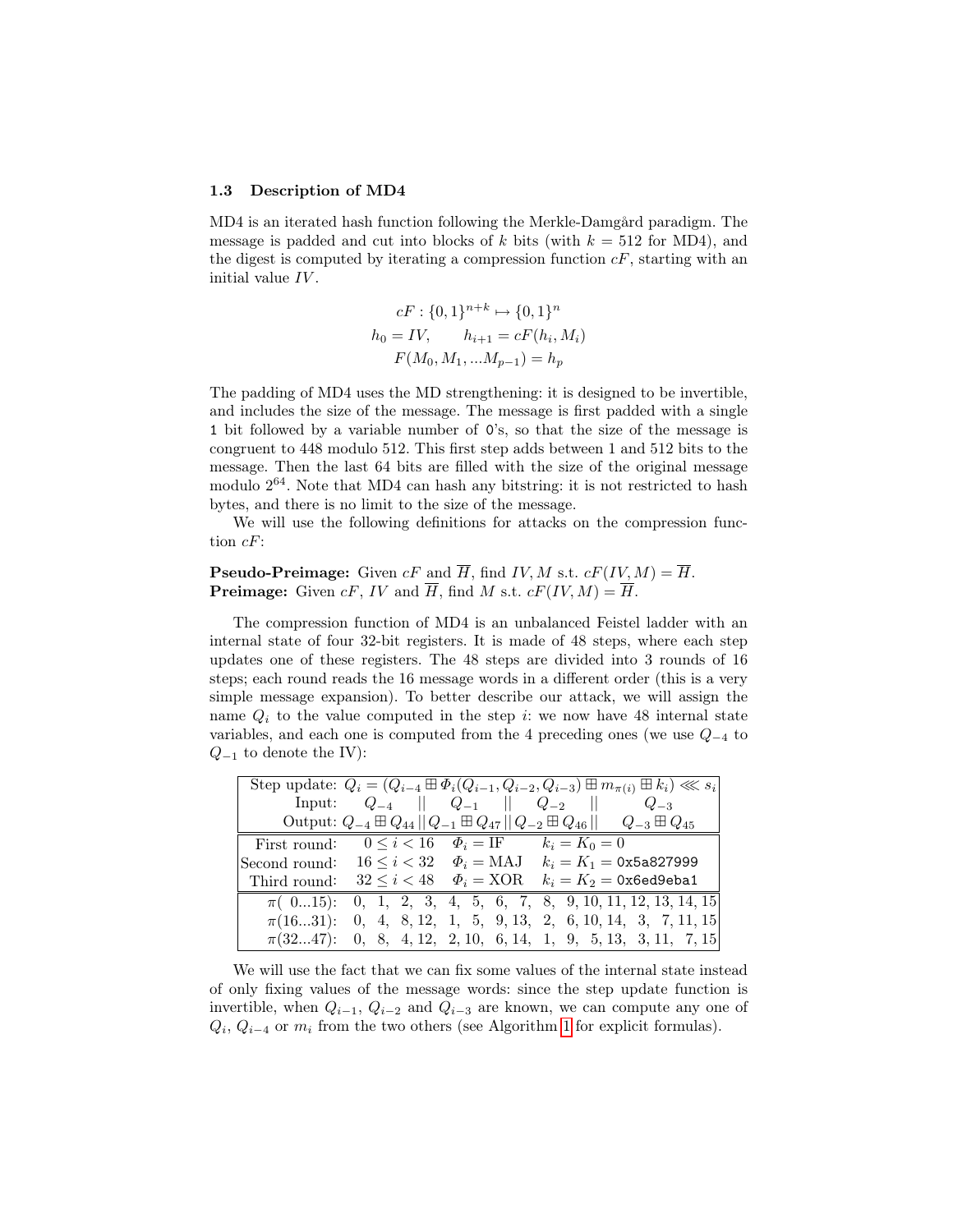#### 1.3 Description of MD4

MD4 is an iterated hash function following the Merkle-Damgård paradigm. The message is padded and cut into blocks of k bits (with  $k = 512$  for MD4), and the digest is computed by iterating a compression function  $cF$ , starting with an initial value IV.

$$
cF: \{0,1\}^{n+k} \mapsto \{0,1\}^n
$$

$$
h_0 = IV, \qquad h_{i+1} = cF(h_i, M_i)
$$

$$
F(M_0, M_1, ... M_{p-1}) = h_p
$$

The padding of MD4 uses the MD strengthening: it is designed to be invertible, and includes the size of the message. The message is first padded with a single 1 bit followed by a variable number of 0's, so that the size of the message is congruent to 448 modulo 512. This first step adds between 1 and 512 bits to the message. Then the last 64 bits are filled with the size of the original message modulo  $2^{64}$ . Note that MD4 can hash any bitstring: it is not restricted to hash bytes, and there is no limit to the size of the message.

We will use the following definitions for attacks on the compression function cF:

## **Pseudo-Preimage:** Given  $cF$  and  $\overline{H}$ , find IV, M s.t.  $cF(IV, M) = \overline{H}$ . **Preimage:** Given cF, IV and  $\overline{H}$ , find M s.t.  $cF(IV, M) = \overline{H}$ .

The compression function of MD4 is an unbalanced Feistel ladder with an internal state of four 32-bit registers. It is made of 48 steps, where each step updates one of these registers. The 48 steps are divided into 3 rounds of 16 steps; each round reads the 16 message words in a different order (this is a very simple message expansion). To better describe our attack, we will assign the name  $Q_i$  to the value computed in the step i: we now have 48 internal state variables, and each one is computed from the 4 preceding ones (we use  $Q_{-4}$  to  $Q_{-1}$  to denote the IV):

|               |                                        |                                               | Step update: $Q_i = (Q_{i-4} \boxplus \Phi_i(Q_{i-1}, Q_{i-2}, Q_{i-3}) \boxplus m_{\pi(i)} \boxplus k_i) \ll s_i$ |
|---------------|----------------------------------------|-----------------------------------------------|--------------------------------------------------------------------------------------------------------------------|
|               |                                        |                                               | Input: $Q_{-4}$    $Q_{-1}$    $Q_{-2}$    $Q_{-3}$                                                                |
|               |                                        |                                               | Output: $Q_{-4} \boxplus Q_{44}    Q_{-1} \boxplus Q_{47}    Q_{-2} \boxplus Q_{46}    Q_{-3} \boxplus Q_{45}$     |
| First round:  |                                        | $0 \le i < 16$ $\Phi_i = I$ F $k_i = K_0 = 0$ |                                                                                                                    |
| Second round: |                                        |                                               | $16 \le i < 32$ $\Phi_i = \text{MAJ}$ $k_i = K_1 = 0$ x5a827999                                                    |
| Third round:  | $32 \leq i < 48$ $\Phi_i = \text{XOR}$ |                                               | $k_i = K_2 = 0$ x6ed9eba1                                                                                          |
|               |                                        |                                               | $\pi(015)$ : 0, 1, 2, 3, 4, 5, 6, 7, 8, 9, 10, 11, 12, 13, 14, 15                                                  |
|               |                                        |                                               | $\pi(1631):$ 0, 4, 8, 12, 1, 5, 9, 13, 2, 6, 10, 14, 3, 7, 11, 15                                                  |
|               |                                        |                                               | $\pi(3247):$ 0, 8, 4, 12, 2, 10, 6, 14, 1, 9, 5, 13, 3, 11, 7, 15                                                  |

We will use the fact that we can fix some values of the internal state instead of only fixing values of the message words: since the step update function is invertible, when  $Q_{i-1}$ ,  $Q_{i-2}$  and  $Q_{i-3}$  are known, we can compute any one of  $Q_i, Q_{i-4}$  or  $m_i$  from the two others (see Algorithm [1](#page-4-0) for explicit formulas).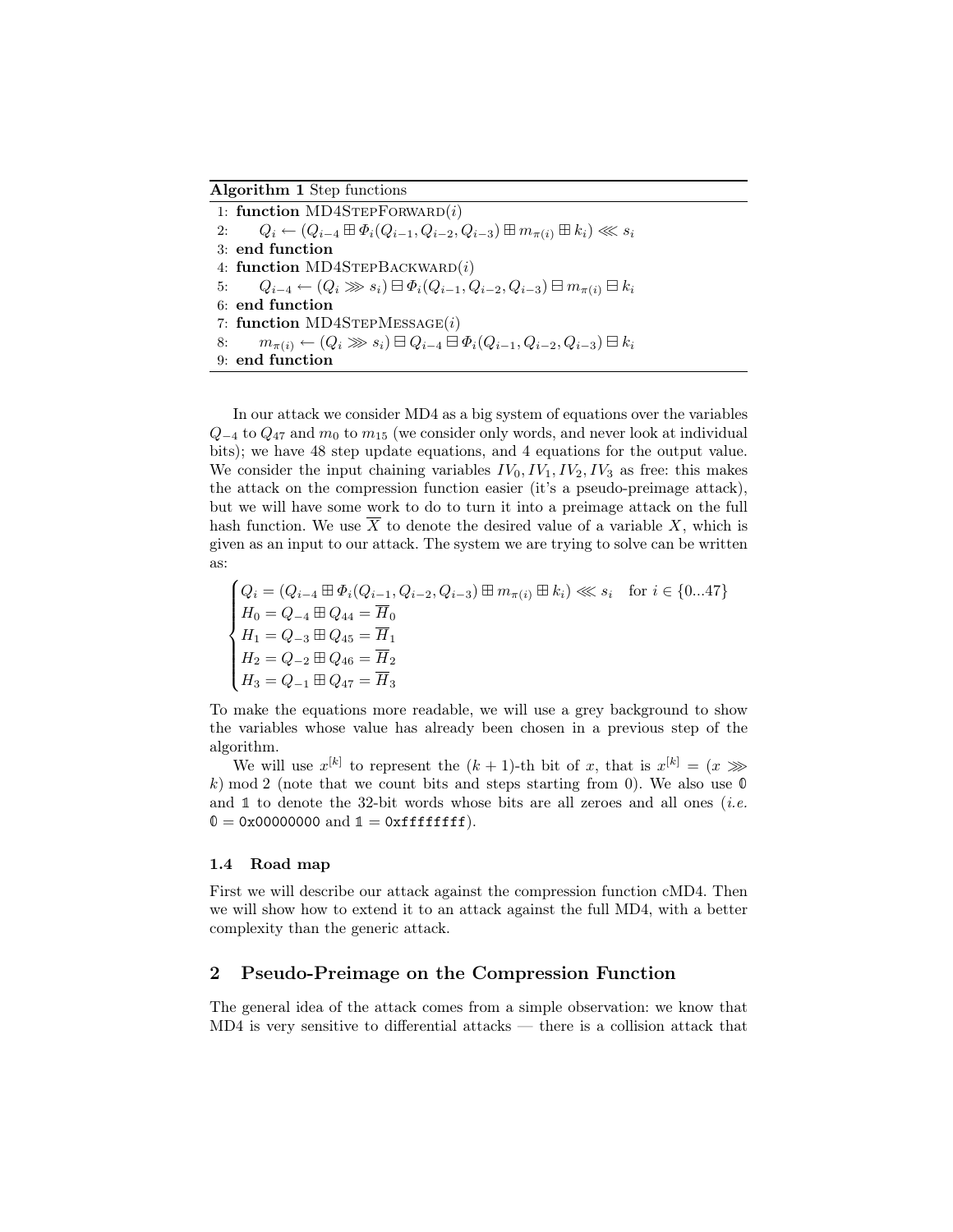#### Algorithm 1 Step functions

<span id="page-4-0"></span>1: function  $MD4STEPFORMARD(i)$ 2:  $Q_i \leftarrow (Q_{i-4} \boxplus \Phi_i(Q_{i-1}, Q_{i-2}, Q_{i-3}) \boxplus m_{\pi(i)} \boxplus k_i) \ll s_i$ 3: end function 4: function MD4STEPBACKWARD $(i)$ 5:  $Q_{i-4}$  ←  $(Q_i \gg s_i) \boxminus \Phi_i(Q_{i-1}, Q_{i-2}, Q_{i-3}) \boxminus m_{\pi(i)} \boxminus k_i$ 6: end function 7: function  $MD4STEPMESSAGE(i)$ 8:  $m_{\pi(i)} \leftarrow (Q_i \gg s_i) \boxminus Q_{i-4} \boxminus \Phi_i(Q_{i-1}, Q_{i-2}, Q_{i-3}) \boxminus k_i$ 9: end function

In our attack we consider MD4 as a big system of equations over the variables  $Q_{-4}$  to  $Q_{47}$  and  $m_0$  to  $m_{15}$  (we consider only words, and never look at individual bits); we have 48 step update equations, and 4 equations for the output value. We consider the input chaining variables  $IV_0, IV_1, IV_2, IV_3$  as free: this makes the attack on the compression function easier (it's a pseudo-preimage attack), but we will have some work to do to turn it into a preimage attack on the full hash function. We use  $\overline{X}$  to denote the desired value of a variable X, which is given as an input to our attack. The system we are trying to solve can be written as:

$$
\begin{cases}\nQ_i = (Q_{i-4} \boxplus \Phi_i (Q_{i-1}, Q_{i-2}, Q_{i-3}) \boxplus m_{\pi(i)} \boxplus k_i) \ll s_i & \text{for } i \in \{0...47\} \\
H_0 = Q_{-4} \boxplus Q_{44} = \overline{H}_0 \\
H_1 = Q_{-3} \boxplus Q_{45} = \overline{H}_1 \\
H_2 = Q_{-2} \boxplus Q_{46} = \overline{H}_2 \\
H_3 = Q_{-1} \boxplus Q_{47} = \overline{H}_3\n\end{cases}
$$

To make the equations more readable, we will use a grey background to show the variables whose value has already been chosen in a previous step of the algorithm.

We will use  $x^{[k]}$  to represent the  $(k+1)$ -th bit of x, that is  $x^{[k]} = (x \gg)$ k) mod 2 (note that we count bits and steps starting from 0). We also use  $\mathbb O$ and  $\mathbb 1$  to denote the 32-bit words whose bits are all zeroes and all ones *(i.e.*  $0 = 0x00000000$  and  $1 = 0x$ ffffffff.

#### 1.4 Road map

First we will describe our attack against the compression function cMD4. Then we will show how to extend it to an attack against the full MD4, with a better complexity than the generic attack.

## 2 Pseudo-Preimage on the Compression Function

The general idea of the attack comes from a simple observation: we know that MD4 is very sensitive to differential attacks — there is a collision attack that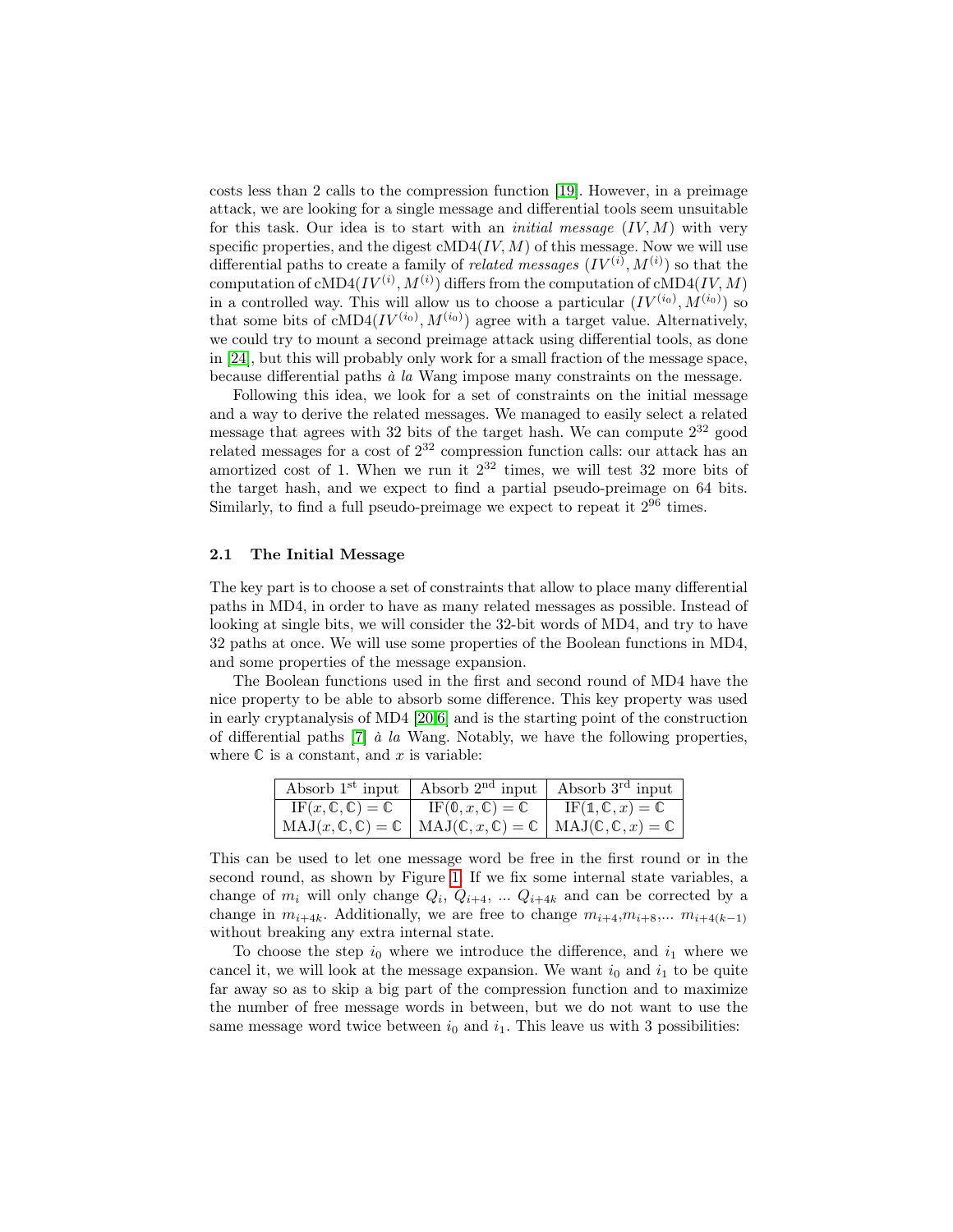costs less than 2 calls to the compression function [\[19\]](#page-14-3). However, in a preimage attack, we are looking for a single message and differential tools seem unsuitable for this task. Our idea is to start with an *initial message*  $(IV, M)$  with very specific properties, and the digest  $\text{cMD4}(IV, M)$  of this message. Now we will use differential paths to create a family of *related messages*  $(IV^{(i)}, M^{(i)})$  so that the computation of cMD4 $(IV^{(i)}, M^{(i)})$  differs from the computation of cMD4 $(IV, M)$ in a controlled way. This will allow us to choose a particular  $(IV^{(i_0)}, M^{(i_0)})$  so that some bits of cMD4 $(IV^{(i_0)}, M^{(i_0)})$  agree with a target value. Alternatively, we could try to mount a second preimage attack using differential tools, as done in [\[24\]](#page-14-13), but this will probably only work for a small fraction of the message space, because differential paths à la Wang impose many constraints on the message.

Following this idea, we look for a set of constraints on the initial message and a way to derive the related messages. We managed to easily select a related message that agrees with 32 bits of the target hash. We can compute  $2^{32}$  good related messages for a cost of 2 <sup>32</sup> compression function calls: our attack has an amortized cost of 1. When we run it  $2^{32}$  times, we will test 32 more bits of the target hash, and we expect to find a partial pseudo-preimage on 64 bits. Similarly, to find a full pseudo-preimage we expect to repeat it  $2^{96}$  times.

#### 2.1 The Initial Message

The key part is to choose a set of constraints that allow to place many differential paths in MD4, in order to have as many related messages as possible. Instead of looking at single bits, we will consider the 32-bit words of MD4, and try to have 32 paths at once. We will use some properties of the Boolean functions in MD4, and some properties of the message expansion.

The Boolean functions used in the first and second round of MD4 have the nice property to be able to absorb some difference. This key property was used in early cryptanalysis of MD4 [\[20](#page-14-11)[,6\]](#page-13-1) and is the starting point of the construction of differential paths  $[7]$  à la Wang. Notably, we have the following properties, where  $\mathbb C$  is a constant, and x is variable:

| Absorb 1 <sup>st</sup> input   Absorb 2 <sup>nd</sup> input   Absorb 3 <sup>rd</sup> input                                                    |  |
|-----------------------------------------------------------------------------------------------------------------------------------------------|--|
| IF $(x, \mathbb{C}, \mathbb{C}) = \mathbb{C}$   IF $(\mathbb{0}, x, \mathbb{C}) = \mathbb{C}$   IF $(\mathbb{1}, \mathbb{C}, x) = \mathbb{C}$ |  |
| $MAJ(x, \mathbb{C}, \mathbb{C}) = \mathbb{C}   MAJ(\mathbb{C}, x, \mathbb{C}) = \mathbb{C}   MAJ(\mathbb{C}, \mathbb{C}, x) = \mathbb{C}$     |  |

This can be used to let one message word be free in the first round or in the second round, as shown by Figure [1.](#page-6-0) If we fix some internal state variables, a change of  $m_i$  will only change  $Q_i$ ,  $Q_{i+4}$ , ...  $Q_{i+4k}$  and can be corrected by a change in  $m_{i+4k}$ . Additionally, we are free to change  $m_{i+4},m_{i+8},...$   $m_{i+4(k-1)}$ without breaking any extra internal state.

To choose the step  $i_0$  where we introduce the difference, and  $i_1$  where we cancel it, we will look at the message expansion. We want  $i_0$  and  $i_1$  to be quite far away so as to skip a big part of the compression function and to maximize the number of free message words in between, but we do not want to use the same message word twice between  $i_0$  and  $i_1$ . This leave us with 3 possibilities: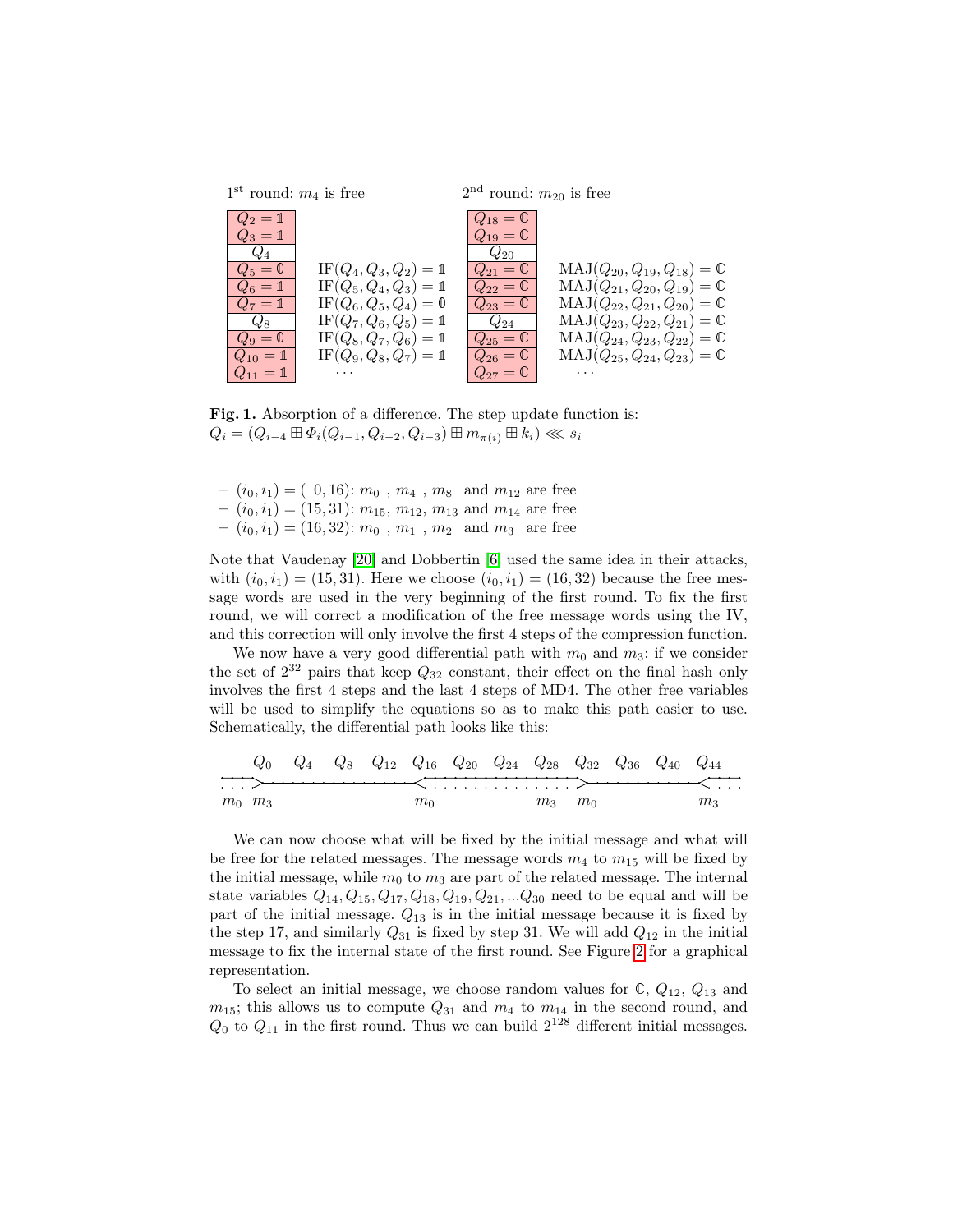

<span id="page-6-0"></span>Fig. 1. Absorption of a difference. The step update function is:  $Q_i = (Q_{i-4} \boxplus \Phi_i(Q_{i-1}, Q_{i-2}, Q_{i-3}) \boxplus m_{\pi(i)} \boxplus k_i) \ll s_i$ 

- $(i_0, i_1) = (0, 16)$ :  $m_0$ ,  $m_4$ ,  $m_8$  and  $m_{12}$  are free  $(i_0, i_1) = (15, 31)$ :  $m_{15}$ ,  $m_{12}$ ,  $m_{13}$  and  $m_{14}$  are free
- $(i_0, i_1) = (16, 32)$ :  $m_0$ ,  $m_1$ ,  $m_2$  and  $m_3$  are free

Note that Vaudenay [\[20\]](#page-14-11) and Dobbertin [\[6\]](#page-13-1) used the same idea in their attacks, with  $(i_0, i_1) = (15, 31)$ . Here we choose  $(i_0, i_1) = (16, 32)$  because the free message words are used in the very beginning of the first round. To fix the first round, we will correct a modification of the free message words using the IV, and this correction will only involve the first 4 steps of the compression function.

We now have a very good differential path with  $m_0$  and  $m_3$ : if we consider the set of  $2^{32}$  pairs that keep  $Q_{32}$  constant, their effect on the final hash only involves the first 4 steps and the last 4 steps of MD4. The other free variables will be used to simplify the equations so as to make this path easier to use. Schematically, the differential path looks like this:

$$
Q_0
$$
  $Q_4$   $Q_8$   $Q_{12}$   $Q_{16}$   $Q_{20}$   $Q_{24}$   $Q_{28}$   $Q_{32}$   $Q_{36}$   $Q_{40}$   $Q_{44}$   
\n $m_0$   $m_3$   $m_0$   $m_3$ 

We can now choose what will be fixed by the initial message and what will be free for the related messages. The message words  $m_4$  to  $m_{15}$  will be fixed by the initial message, while  $m_0$  to  $m_3$  are part of the related message. The internal state variables  $Q_{14}, Q_{15}, Q_{17}, Q_{18}, Q_{19}, Q_{21}, ... Q_{30}$  need to be equal and will be part of the initial message.  $Q_{13}$  is in the initial message because it is fixed by the step 17, and similarly  $Q_{31}$  is fixed by step 31. We will add  $Q_{12}$  in the initial message to fix the internal state of the first round. See Figure [2](#page-7-0) for a graphical representation.

To select an initial message, we choose random values for  $\mathbb{C}, Q_{12}, Q_{13}$  and  $m_{15}$ ; this allows us to compute  $Q_{31}$  and  $m_4$  to  $m_{14}$  in the second round, and  $Q_0$  to  $Q_{11}$  in the first round. Thus we can build  $2^{128}$  different initial messages.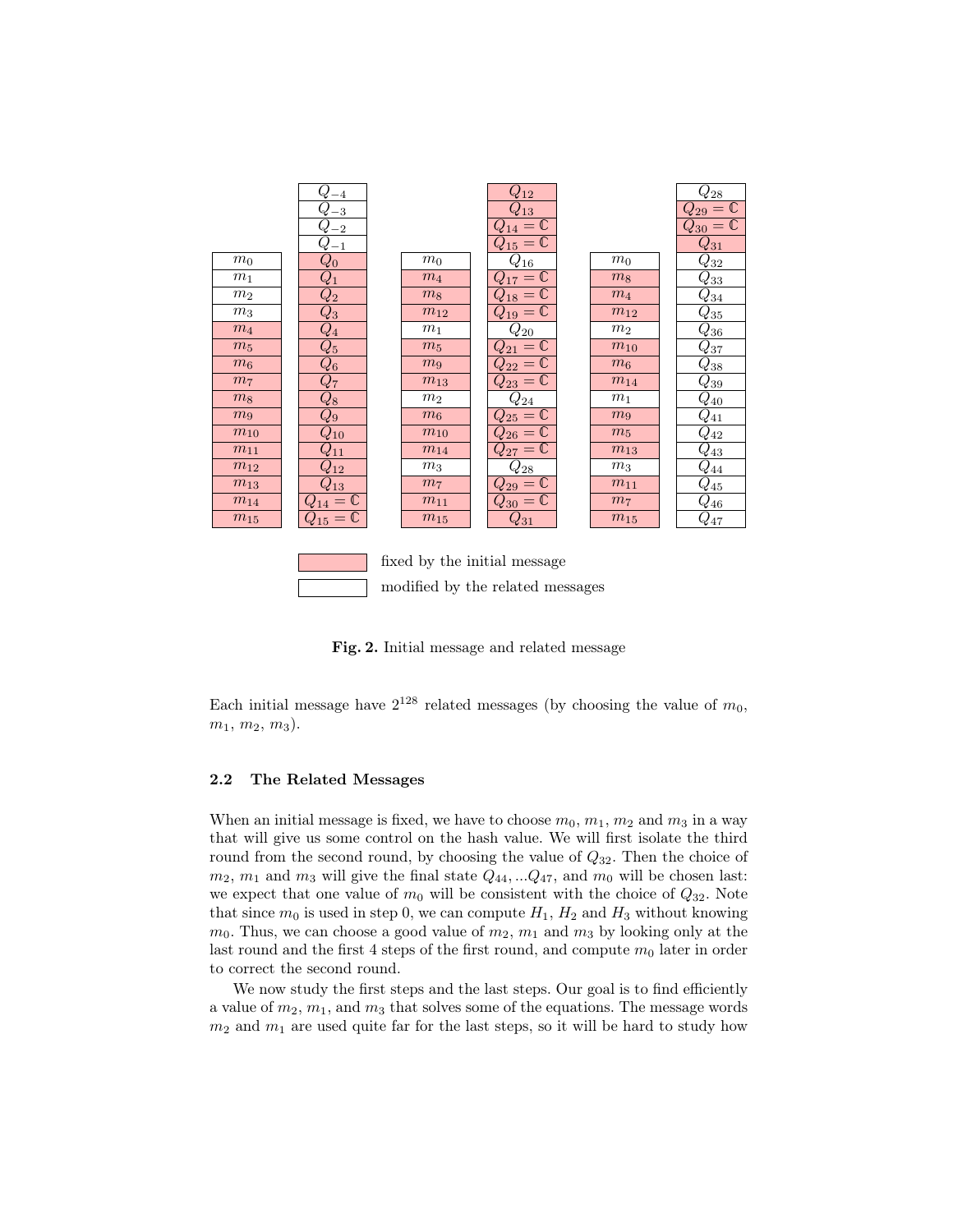|                | J<br>$-4$                       |                              | $Q_{12}$                      |                | $\,_{28}$                      |
|----------------|---------------------------------|------------------------------|-------------------------------|----------------|--------------------------------|
|                | $-3$                            |                              | $Q_{13}$                      |                | $\overline{Q_{29}}=\mathbb{C}$ |
|                | $-2$                            |                              | $= 0$                         |                | $Q_{30}=\mathbb{C}$            |
|                | $Q_{-1}$                        |                              | $= 0$                         |                | $Q_{31}$                       |
| $m_0$          | $Q_{\rm 0}$                     | m <sub>0</sub>               | $Q_{16}$                      | m <sub>0</sub> | $\,_{32}$                      |
| m <sub>1</sub> | $\mathcal{Q}_1$                 | $m_4$                        | $= 0$                         | m <sub>8</sub> | $Q_{33}$                       |
| m <sub>2</sub> | $\overline{Q_2}$                | m <sub>8</sub>               | $_{18}=\overline{\mathbb{C}}$ | $m_4$          | $\,_{34}$                      |
| m <sub>3</sub> | $\,Q_3$                         | $m_{12}$                     | $Q_{19}=\mathbb{C}$           | $m_{12}$       | $Q_{35}$                       |
| $m_4$          | $\overline{Q_4}$                | m <sub>1</sub>               | $Q_{20}$                      | m <sub>2</sub> | $Q_{36}$                       |
| $m_5$          | $\overline{Q_5}$                | $m_5$                        | $= 0$                         | $m_{10}$       | $Q_{37}$                       |
| $m_6$          | $Q_{6}$                         | m <sub>9</sub>               | $= 0$                         | $m_6$          | $Q_{38}$                       |
| m <sub>7</sub> | $Q_{\rm 7}$                     | $m_{13}$                     | $= 0$<br>$2_{23}$             | $m_{14}$       | $Q_{39}$                       |
| m <sub>8</sub> | $\overline{Q_8}$                | m <sub>2</sub>               | $Q_{24}$                      | m <sub>1</sub> | $Q_{40}$                       |
| m <sub>9</sub> | $Q_{9}$                         | $m_6$                        | $Q_{25}=\mathbb{C}$           | m <sub>9</sub> | $\hspace{0.05cm} Q_{41}$       |
| $m_{10}$       | $Q_{\rm 10}$                    | $m_{10}$                     | $Q_{26}=\mathbb{C}$           | m <sub>5</sub> | $\mathit{Q}_{42}$              |
| $m_{11}$       | $\mathcal{Q}_{11}$              | $m_{14}$                     | $Q_{27}=\mathbb{C}$           | $m_{13}$       | $\bar{Q}_{\underline{43}}$     |
| $m_{12}$       | $2_{12}$                        | m <sub>3</sub>               | $Q_{28}$                      | m <sub>3</sub> | $\,_{44}$                      |
| $m_{13}$       | $2_{13}$                        | m <sub>7</sub>               | $Q_{29}=\bar{\mathbb{C}}$     | $m_{11}$       | $Q_{45}$                       |
| $m_{14}$       | $\mathbb C$<br>$\overline{4}$ = | $m_{11}$                     | $Q_{30}=\overline{\mathbb C}$ | m <sub>7</sub> | $\,_{46}$                      |
| $m_{15}$       | $\mathbb C$<br>$Q_{15} =$       | $m_{15}$                     | $\hspace{0.05cm} Q_{31}$      | $m_{15}$       | $Q_{47}$                       |
|                |                                 |                              |                               |                |                                |
|                |                                 |                              |                               |                |                                |
|                |                                 | fixed by the initial message |                               |                |                                |
|                |                                 |                              |                               |                |                                |

Fig. 2. Initial message and related message

<span id="page-7-0"></span>modified by the related messages

Each initial message have  $2^{128}$  related messages (by choosing the value of  $m_0$ ,  $m_1, m_2, m_3$ ).

### 2.2 The Related Messages

When an initial message is fixed, we have to choose  $m_0, m_1, m_2$  and  $m_3$  in a way that will give us some control on the hash value. We will first isolate the third round from the second round, by choosing the value of  $Q_{32}$ . Then the choice of  $m_2$ ,  $m_1$  and  $m_3$  will give the final state  $Q_{44}$ , ... $Q_{47}$ , and  $m_0$  will be chosen last: we expect that one value of  $m_0$  will be consistent with the choice of  $Q_{32}$ . Note that since  $m_0$  is used in step 0, we can compute  $H_1$ ,  $H_2$  and  $H_3$  without knowing  $m_0$ . Thus, we can choose a good value of  $m_2$ ,  $m_1$  and  $m_3$  by looking only at the last round and the first 4 steps of the first round, and compute  $m_0$  later in order to correct the second round.

We now study the first steps and the last steps. Our goal is to find efficiently a value of  $m_2$ ,  $m_1$ , and  $m_3$  that solves some of the equations. The message words  $m_2$  and  $m_1$  are used quite far for the last steps, so it will be hard to study how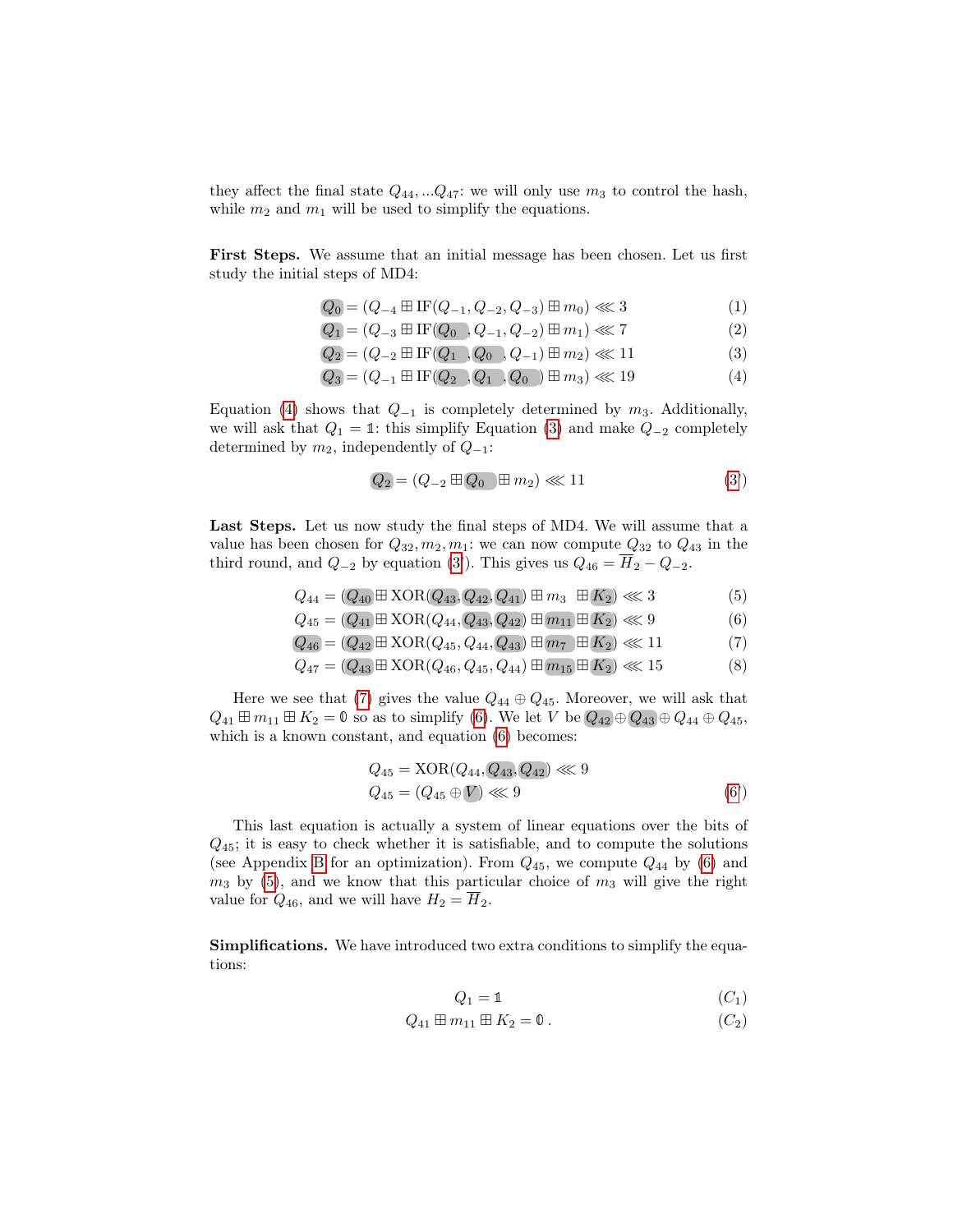they affect the final state  $Q_{44}, \ldots Q_{47}$ : we will only use  $m_3$  to control the hash, while  $m_2$  and  $m_1$  will be used to simplify the equations.

First Steps. We assume that an initial message has been chosen. Let us first study the initial steps of MD4:

$$
Q_0 = (Q_{-4} \boxplus \text{IF}(Q_{-1}, Q_{-2}, Q_{-3}) \boxplus m_0) \lll 3
$$
\n(1)

- $Q_1 = (Q_{-3} \boxplus \text{IF}(Q_0, Q_{-1}, Q_{-2}) \boxplus m_1) \ll 7$  (2)
- $Q_2 = (Q_{-2} \boxplus \text{IF}(Q_1), Q_0, Q_{-1}) \boxplus m_2) \ll 11$  (3)
- $Q_3 = (Q_{-1} \boxplus \text{IF}(Q_2), Q_1, Q_0) \boxplus m_3) \ll 19$  (4)

Equation [\(4\)](#page-8-0) shows that  $Q_{-1}$  is completely determined by  $m_3$ . Additionally, we will ask that  $Q_1 = 1$ : this simplify Equation [\(3\)](#page-8-1) and make  $Q_{-2}$  completely determined by  $m_2$ , independently of  $Q_{-1}$ :

<span id="page-8-4"></span><span id="page-8-3"></span><span id="page-8-1"></span><span id="page-8-0"></span>
$$
Q_2 = (Q_{-2} \boxplus Q_0 \boxplus m_2) \ll 11 \tag{3'}
$$

<span id="page-8-5"></span>Last Steps. Let us now study the final steps of MD4. We will assume that a value has been chosen for  $Q_{32}, m_2, m_1$ : we can now compute  $Q_{32}$  to  $Q_{43}$  in the third round, and  $Q_{-2}$  by equation [\(3'](#page-8-1)). This gives us  $Q_{46} = \overline{H}_2 - Q_{-2}$ .

$$
Q_{44} = (Q_{40} \boxplus \text{XOR}(Q_{43}, Q_{42}, Q_{41}) \boxplus m_3 \boxplus K_2) \ll 3 \tag{5}
$$

$$
Q_{45} = (Q_{41} \boxplus \text{XOR}(Q_{44}, Q_{43}, Q_{42}) \boxplus m_{11} \boxplus K_2) \ll 9 \tag{6}
$$

$$
Q_{46} = (Q_{42} \boxplus \text{XOR}(Q_{45}, Q_{44}, Q_{43}) \boxplus m_7 \boxplus K_2) \ll 11 \tag{7}
$$

$$
Q_{47} = (Q_{43} \boxplus \text{XOR}(Q_{46}, Q_{45}, Q_{44}) \boxplus \overline{m_{15}} \boxplus K_2) \lll 15
$$
 (8)

Here we see that [\(7\)](#page-8-2) gives the value  $Q_{44} \oplus Q_{45}$ . Moreover, we will ask that  $Q_{41} \boxplus m_{11} \boxplus K_2 = \mathbb{0}$  so as to simplify [\(6\)](#page-8-3). We let V be  $Q_{42} \oplus Q_{43} \oplus Q_{44} \oplus Q_{45}$ , which is a known constant, and equation [\(6\)](#page-8-3) becomes:

<span id="page-8-2"></span>
$$
Q_{45} = XOR(Q_{44}, Q_{43}, Q_{42}) \ll 9
$$
  

$$
Q_{45} = (Q_{45} \oplus V) \ll 9
$$
 (6')

This last equation is actually a system of linear equations over the bits of  $Q_{45}$ ; it is easy to check whether it is satisfiable, and to compute the solutions (see Appendix [B](#page-16-0) for an optimization). From  $Q_{45}$ , we compute  $Q_{44}$  by [\(6\)](#page-8-3) and  $m_3$  by [\(5\)](#page-8-4), and we know that this particular choice of  $m_3$  will give the right value for  $Q_{46}$ , and we will have  $H_2 = \overline{H}_2$ .

Simplifications. We have introduced two extra conditions to simplify the equations:

$$
Q_1 = \mathbb{1} \tag{C_1}
$$

$$
Q_{41} \boxplus m_{11} \boxplus K_2 = \mathbf{0} \,. \tag{C_2}
$$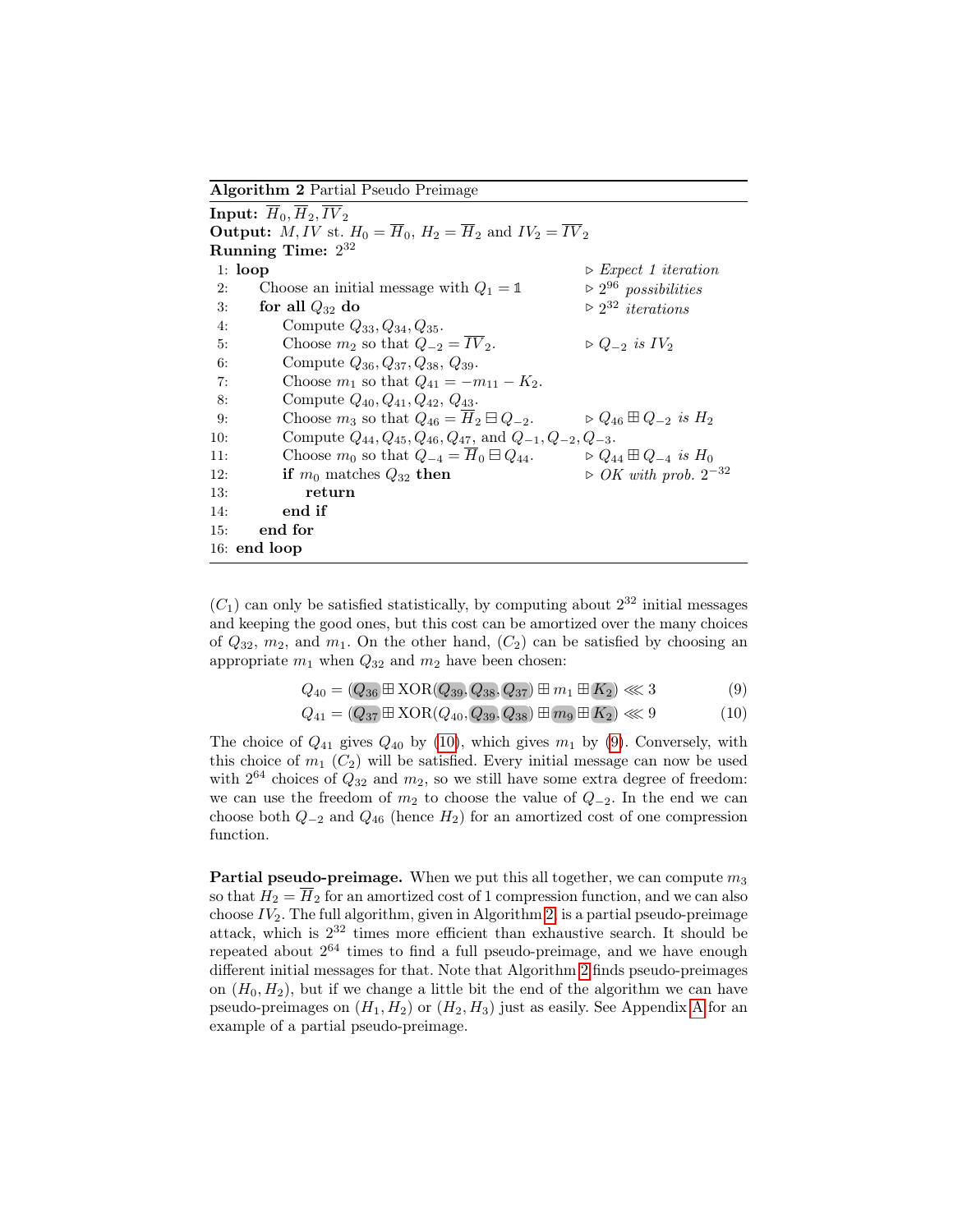Algorithm 2 Partial Pseudo Preimage

<span id="page-9-2"></span>

|                                                                                                       | Input: $H_0, H_2, IV_2$                                                   |                                                    |  |  |  |  |  |  |
|-------------------------------------------------------------------------------------------------------|---------------------------------------------------------------------------|----------------------------------------------------|--|--|--|--|--|--|
| <b>Output:</b> M, IV st. $H_0 = \overline{H}_0$ , $H_2 = \overline{H}_2$ and $IV_2 = \overline{IV}_2$ |                                                                           |                                                    |  |  |  |  |  |  |
| Running Time: $2^{32}$                                                                                |                                                                           |                                                    |  |  |  |  |  |  |
| 1: $loop$                                                                                             |                                                                           | $\triangleright$ Expect 1 iteration                |  |  |  |  |  |  |
| 2:                                                                                                    | Choose an initial message with $Q_1 = \mathbb{1}$                         | $\triangleright$ 2 <sup>96</sup> possibilities     |  |  |  |  |  |  |
| 3:                                                                                                    | for all $Q_{32}$ do                                                       | $\triangleright$ 2 <sup>32</sup> <i>iterations</i> |  |  |  |  |  |  |
| 4:                                                                                                    | Compute $Q_{33}, Q_{34}, Q_{35}$ .                                        |                                                    |  |  |  |  |  |  |
| 5:                                                                                                    | Choose $m_2$ so that $Q_{-2} = \overline{IV}_2$ .                         | $\triangleright Q_{-2}$ is $IV_2$                  |  |  |  |  |  |  |
| 6:                                                                                                    | Compute $Q_{36}, Q_{37}, Q_{38}, Q_{39}.$                                 |                                                    |  |  |  |  |  |  |
| 7:                                                                                                    | Choose $m_1$ so that $Q_{41} = -m_{11} - K_2$ .                           |                                                    |  |  |  |  |  |  |
| 8:                                                                                                    | Compute $Q_{40}, Q_{41}, Q_{42}, Q_{43}$ .                                |                                                    |  |  |  |  |  |  |
| 9:                                                                                                    | Choose $m_3$ so that $Q_{46} = H_2 \boxminus Q_{-2}$ .                    | $\triangleright Q_{46} \boxplus Q_{-2}$ is $H_2$   |  |  |  |  |  |  |
| 10:                                                                                                   | Compute $Q_{44}, Q_{45}, Q_{46}, Q_{47}$ , and $Q_{-1}, Q_{-2}, Q_{-3}$ . |                                                    |  |  |  |  |  |  |
| 11:                                                                                                   | Choose $m_0$ so that $Q_{-4} = H_0 \boxminus Q_{44}$ .                    | $\triangleright Q_{44} \boxplus Q_{-4}$ is $H_0$   |  |  |  |  |  |  |
| 12:                                                                                                   | if $m_0$ matches $Q_{32}$ then                                            | $\triangleright$ OK with prob. $2^{-32}$           |  |  |  |  |  |  |
| 13:                                                                                                   | return                                                                    |                                                    |  |  |  |  |  |  |
| 14:                                                                                                   | end if                                                                    |                                                    |  |  |  |  |  |  |
| 15:                                                                                                   | end for                                                                   |                                                    |  |  |  |  |  |  |
|                                                                                                       | $16:$ end loop                                                            |                                                    |  |  |  |  |  |  |

 $(C<sub>1</sub>)$  can only be satisfied statistically, by computing about  $2<sup>32</sup>$  initial messages and keeping the good ones, but this cost can be amortized over the many choices of  $Q_{32}$ ,  $m_2$ , and  $m_1$ . On the other hand,  $(C_2)$  can be satisfied by choosing an appropriate  $m_1$  when  $Q_{32}$  and  $m_2$  have been chosen:

<span id="page-9-1"></span><span id="page-9-0"></span>
$$
Q_{40} = (Q_{36} \boxplus \text{XOR}(Q_{39}, Q_{38}, Q_{37}) \boxplus m_1 \boxplus K_2) \lll 3
$$
 (9)

$$
Q_{41} = (Q_{37} \boxplus \text{XOR}(Q_{40}, Q_{39}, Q_{38}) \boxplus m_9 \boxplus K_2) \lll 9 \tag{10}
$$

The choice of  $Q_{41}$  gives  $Q_{40}$  by [\(10\)](#page-9-0), which gives  $m_1$  by [\(9\)](#page-9-1). Conversely, with this choice of  $m_1$  ( $C_2$ ) will be satisfied. Every initial message can now be used with  $2^{64}$  choices of  $Q_{32}$  and  $m_2$ , so we still have some extra degree of freedom: we can use the freedom of  $m_2$  to choose the value of  $Q_{-2}$ . In the end we can choose both  $Q_{-2}$  and  $Q_{46}$  (hence  $H_2$ ) for an amortized cost of one compression function.

**Partial pseudo-preimage.** When we put this all together, we can compute  $m_3$ so that  $H_2 = \overline{H}_2$  for an amortized cost of 1 compression function, and we can also choose  $IV_2$ . The full algorithm, given in Algorithm [2,](#page-9-2) is a partial pseudo-preimage attack, which is 2 <sup>32</sup> times more efficient than exhaustive search. It should be repeated about 2 <sup>64</sup> times to find a full pseudo-preimage, and we have enough different initial messages for that. Note that Algorithm [2](#page-9-2) finds pseudo-preimages on  $(H_0, H_2)$ , but if we change a little bit the end of the algorithm we can have pseudo-preimages on  $(H_1, H_2)$  or  $(H_2, H_3)$  just as easily. See [A](#page-15-0)ppendix A for an example of a partial pseudo-preimage.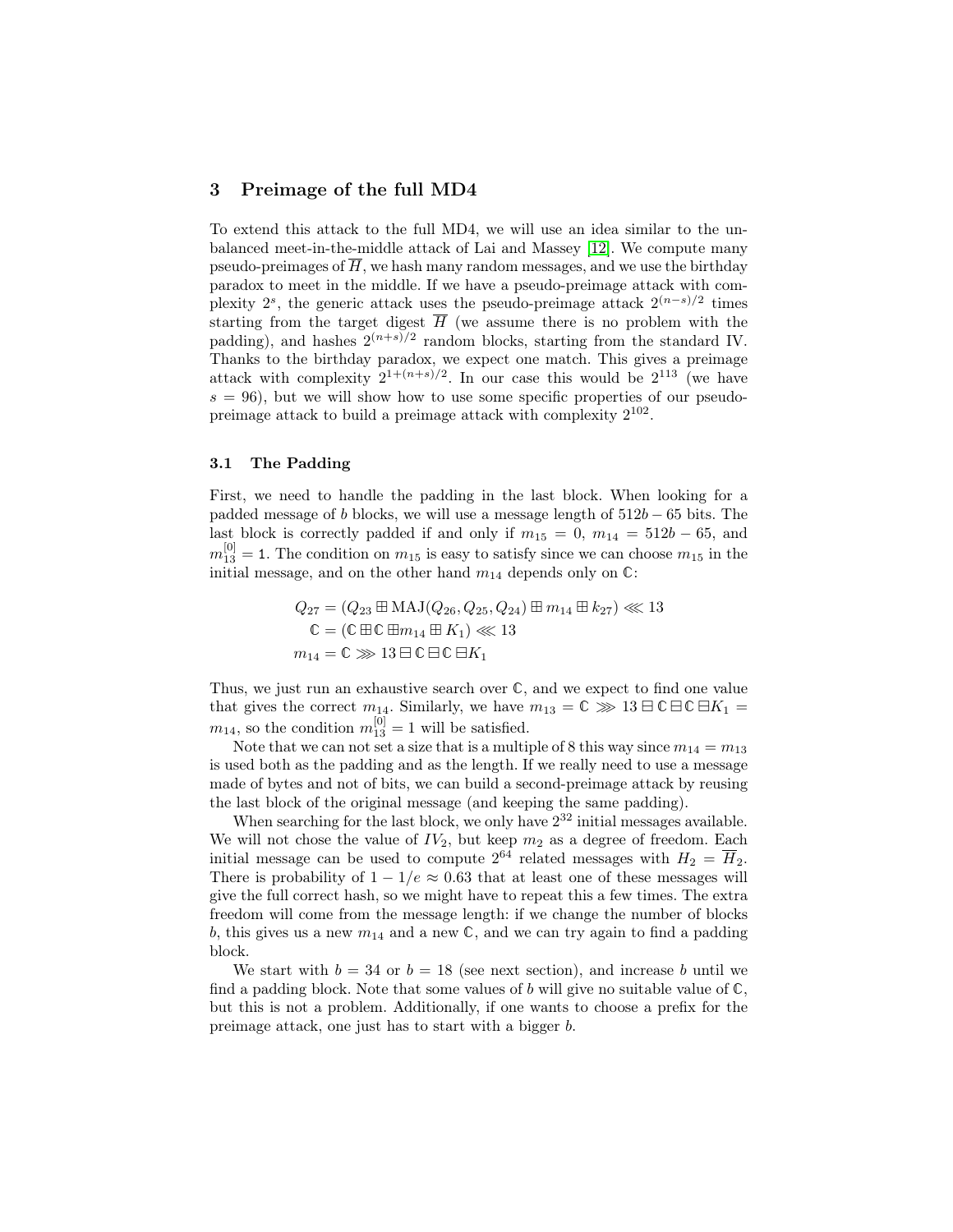### 3 Preimage of the full MD4

To extend this attack to the full MD4, we will use an idea similar to the unbalanced meet-in-the-middle attack of Lai and Massey [\[12\]](#page-14-16). We compute many pseudo-preimages of  $\overline{H}$ , we hash many random messages, and we use the birthday paradox to meet in the middle. If we have a pseudo-preimage attack with complexity  $2^s$ , the generic attack uses the pseudo-preimage attack  $2^{(n-s)/2}$  times starting from the target digest  $\overline{H}$  (we assume there is no problem with the padding), and hashes  $2^{(n+s)/2}$  random blocks, starting from the standard IV. Thanks to the birthday paradox, we expect one match. This gives a preimage attack with complexity  $2^{1+(n+s)/2}$ . In our case this would be  $2^{113}$  (we have  $s = 96$ , but we will show how to use some specific properties of our pseudopreimage attack to build a preimage attack with complexity  $2^{102}$ .

#### 3.1 The Padding

First, we need to handle the padding in the last block. When looking for a padded message of b blocks, we will use a message length of  $512b - 65$  bits. The last block is correctly padded if and only if  $m_{15} = 0$ ,  $m_{14} = 512b - 65$ , and  $m_{13}^{[0]} = 1$ . The condition on  $m_{15}$  is easy to satisfy since we can choose  $m_{15}$  in the initial message, and on the other hand  $m_{14}$  depends only on  $\mathbb{C}$ :

$$
Q_{27} = (Q_{23} \boxplus \text{MAJ}(Q_{26}, Q_{25}, Q_{24}) \boxplus m_{14} \boxplus k_{27}) \ll 13
$$
  
\n
$$
\mathbb{C} = (\mathbb{C} \boxplus \mathbb{C} \boxplus m_{14} \boxplus K_1) \ll 13
$$
  
\n
$$
m_{14} = \mathbb{C} \gg 13 \boxminus \mathbb{C} \boxminus \mathbb{C} \boxplus K_1
$$

Thus, we just run an exhaustive search over  $\mathbb{C}$ , and we expect to find one value that gives the correct  $m_{14}$ . Similarly, we have  $m_{13} = \mathbb{C} \gg 13 \boxminus \mathbb{C} \boxminus \mathbb{C} \boxplus K_1 =$  $m_{14}$ , so the condition  $m_{13}^{[0]} = 1$  will be satisfied.

Note that we can not set a size that is a multiple of 8 this way since  $m_{14} = m_{13}$ is used both as the padding and as the length. If we really need to use a message made of bytes and not of bits, we can build a second-preimage attack by reusing the last block of the original message (and keeping the same padding).

When searching for the last block, we only have  $2^{32}$  initial messages available. We will not chose the value of  $IV_2$ , but keep  $m_2$  as a degree of freedom. Each initial message can be used to compute  $2^{64}$  related messages with  $H_2 = \overline{H}_2$ . There is probability of  $1 - 1/e \approx 0.63$  that at least one of these messages will give the full correct hash, so we might have to repeat this a few times. The extra freedom will come from the message length: if we change the number of blocks b, this gives us a new  $m_{14}$  and a new  $\mathbb{C}$ , and we can try again to find a padding block.

We start with  $b = 34$  or  $b = 18$  (see next section), and increase b until we find a padding block. Note that some values of b will give no suitable value of  $\mathbb{C}$ , but this is not a problem. Additionally, if one wants to choose a prefix for the preimage attack, one just has to start with a bigger b.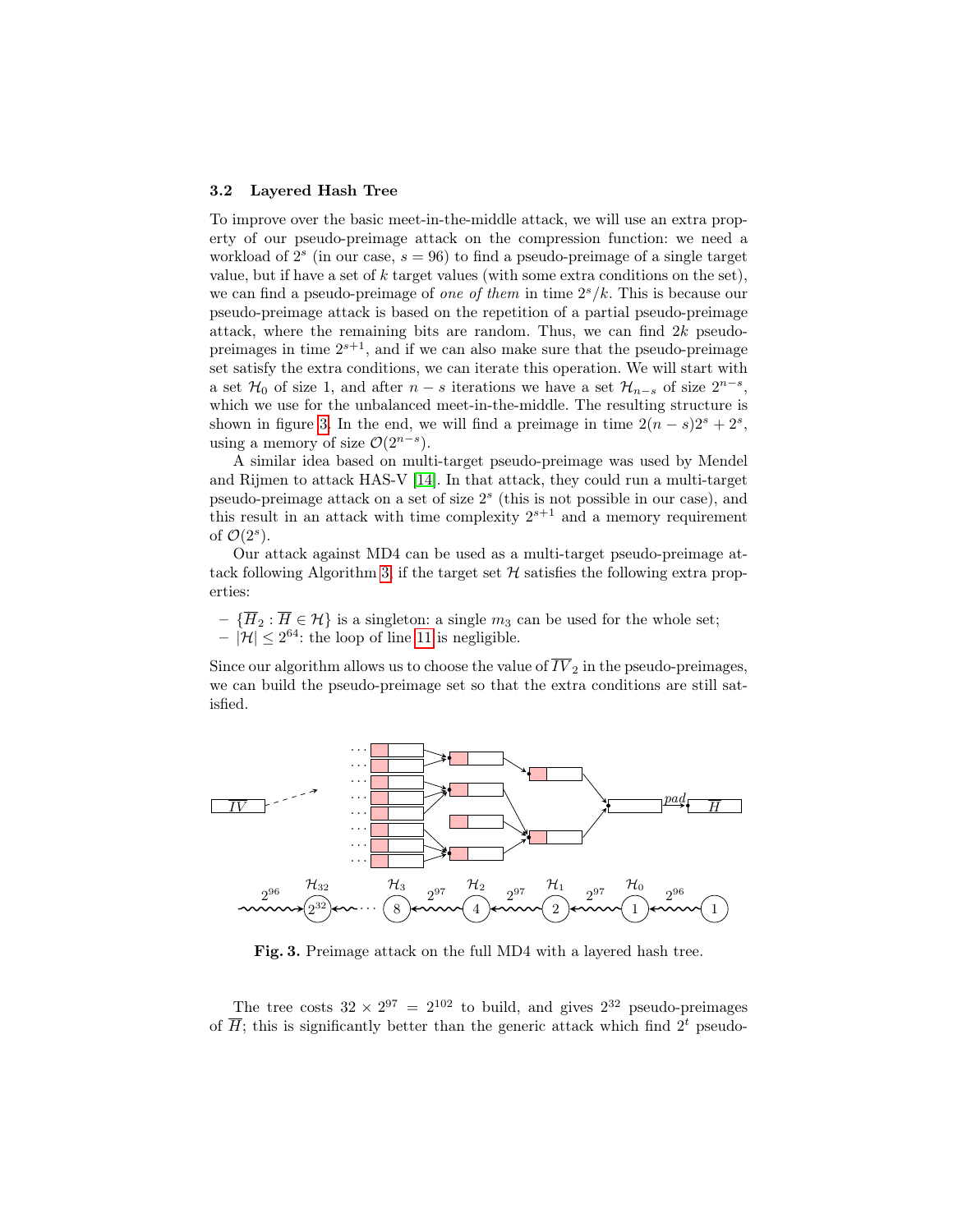#### 3.2 Layered Hash Tree

To improve over the basic meet-in-the-middle attack, we will use an extra property of our pseudo-preimage attack on the compression function: we need a workload of  $2<sup>s</sup>$  (in our case,  $s = 96$ ) to find a pseudo-preimage of a single target value, but if have a set of  $k$  target values (with some extra conditions on the set), we can find a pseudo-preimage of one of them in time  $2<sup>s</sup>/k$ . This is because our pseudo-preimage attack is based on the repetition of a partial pseudo-preimage attack, where the remaining bits are random. Thus, we can find  $2k$  pseudopreimages in time  $2^{s+1}$ , and if we can also make sure that the pseudo-preimage set satisfy the extra conditions, we can iterate this operation. We will start with a set  $\mathcal{H}_0$  of size 1, and after  $n - s$  iterations we have a set  $\mathcal{H}_{n-s}$  of size  $2^{n-s}$ , which we use for the unbalanced meet-in-the-middle. The resulting structure is shown in figure [3.](#page-11-0) In the end, we will find a preimage in time  $2(n-s)2<sup>s</sup> + 2<sup>s</sup>$ , using a memory of size  $\mathcal{O}(2^{n-s})$ .

A similar idea based on multi-target pseudo-preimage was used by Mendel and Rijmen to attack HAS-V [\[14\]](#page-14-17). In that attack, they could run a multi-target pseudo-preimage attack on a set of size 2 s (this is not possible in our case), and this result in an attack with time complexity  $2^{s+1}$  and a memory requirement of  $\mathcal{O}(2^s)$ .

Our attack against MD4 can be used as a multi-target pseudo-preimage at-tack following Algorithm [3,](#page-12-0) if the target set  $H$  satisfies the following extra properties:

 $- \{\overline{H}_2 : \overline{H} \in \mathcal{H}\}$  is a singleton: a single  $m_3$  can be used for the whole set;  $-|\mathcal{H}| \leq 2^{64}$ : the loop of line [11](#page-12-0) is negligible.

Since our algorithm allows us to choose the value of  $\overline{IV}_2$  in the pseudo-preimages, we can build the pseudo-preimage set so that the extra conditions are still satisfied.



<span id="page-11-0"></span>Fig. 3. Preimage attack on the full MD4 with a layered hash tree.

The tree costs  $32 \times 2^{97} = 2^{102}$  to build, and gives  $2^{32}$  pseudo-preimages of  $\overline{H}$ ; this is significantly better than the generic attack which find  $2<sup>t</sup>$  pseudo-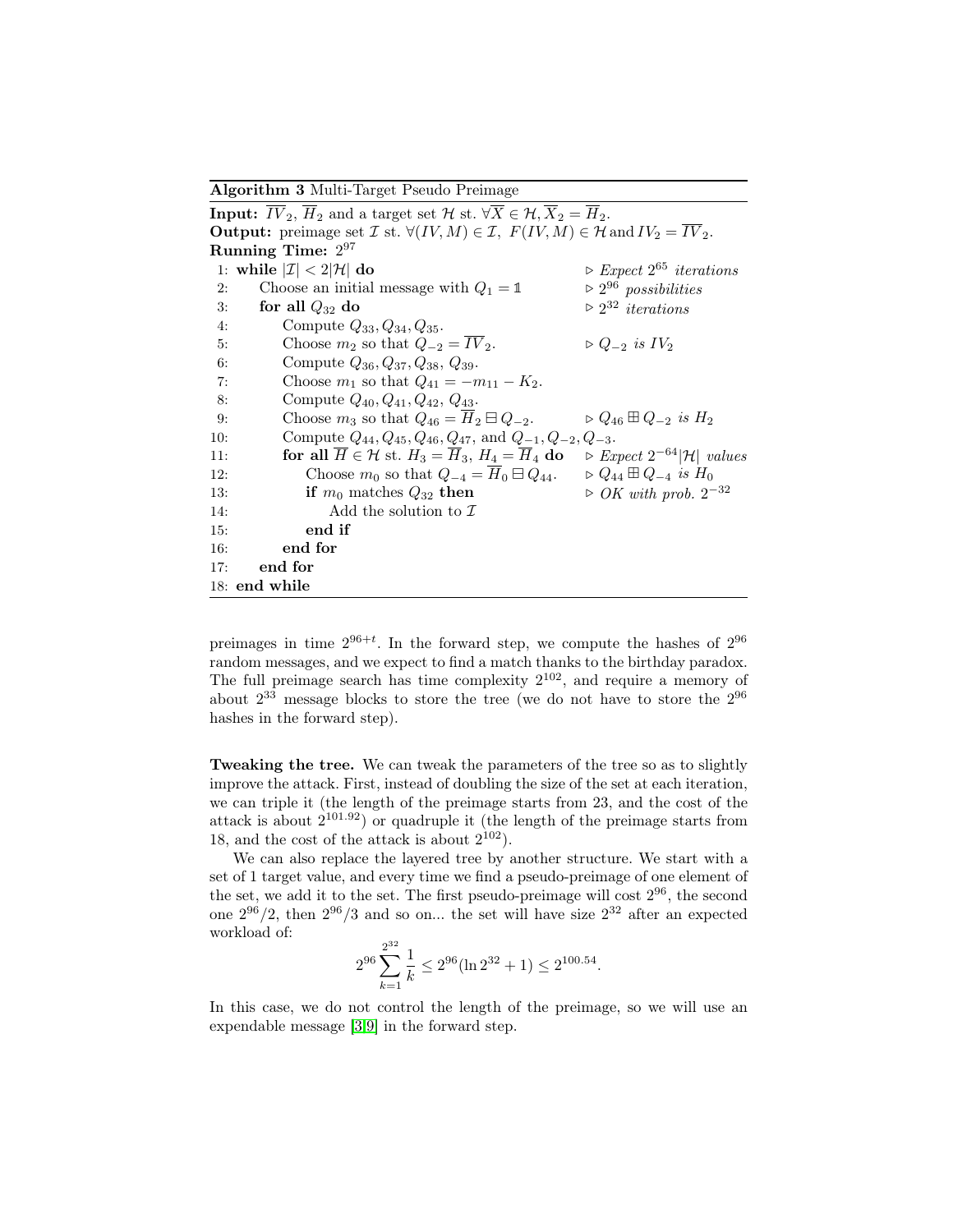Algorithm 3 Multi-Target Pseudo Preimage

<span id="page-12-0"></span>**Input:**  $\overline{IV}_2$ ,  $\overline{H}_2$  and a target set  $\mathcal{H}$  st.  $\forall \overline{X} \in \mathcal{H}, \overline{X}_2 = \overline{H}_2$ . **Output:** preimage set  $\mathcal{I}$  st.  $\forall (IV, M) \in \mathcal{I}$ ,  $F(IV, M) \in \mathcal{H}$  and  $IV_2 = \overline{IV}_2$ . Running Time:  $2^{97}$ 1: while  $|\mathcal{I}| < 2|\mathcal{H}|$  do  $\triangleright$  Expect  $2^{65}$  iterations 2: Choose an initial message with  $Q_1 = \mathbb{1}$  $\triangleright 2^{96}$  possibilities 3: for all  $Q_{32}$  do  $\triangleright$  2<sup>32</sup> *iterations* 4: Compute  $Q_{33}, Q_{34}, Q_{35}.$ 5: Choose  $m_2$  so that  $Q_{-2} = \overline{IV}_2$ .  $\triangleright Q_{-2}$  is  $IV_2$ 6: Compute  $Q_{36}, Q_{37}, Q_{38}, Q_{39}.$ 7: Choose  $m_1$  so that  $Q_{41} = -m_{11} - K_2$ . 8: Compute  $Q_{40}, Q_{41}, Q_{42}, Q_{43}.$ 9: Choose  $m_3$  so that  $Q_{46} = \overline{H}_2 \boxminus Q_{-2}$ .  $\Rightarrow Q_{46} \boxplus Q_{-2}$  is  $H_2$ 10: Compute  $Q_{44}, Q_{45}, Q_{46}, Q_{47}$ , and  $Q_{-1}, Q_{-2}, Q_{-3}$ . 11: **for all**  $\overline{H} \in \mathcal{H}$  st.  $H_3 = \overline{H}_3$ ,  $H_4 = \overline{H}_4$  **do**  $\triangleright$  *Expect*  $2^{-64}|\mathcal{H}|$  *values* 12: Choose  $m_0$  so that  $Q_{-4} = \overline{H}_0 \boxminus Q_{44}$ .  $\triangleright Q_{44} \boxplus Q_{-4}$  is  $H_0$ 13: if  $m_0$  matches  $Q_{32}$  then ⊳ OK with prob.  $2^{-32}$ 14: Add the solution to  $\mathcal I$ 15: end if 16: end for 17: end for 18: end while

preimages in time  $2^{96+t}$ . In the forward step, we compute the hashes of  $2^{96}$ random messages, and we expect to find a match thanks to the birthday paradox. The full preimage search has time complexity  $2^{102}$ , and require a memory of about  $2^{33}$  message blocks to store the tree (we do not have to store the  $2^{96}$ hashes in the forward step).

Tweaking the tree. We can tweak the parameters of the tree so as to slightly improve the attack. First, instead of doubling the size of the set at each iteration, we can triple it (the length of the preimage starts from 23, and the cost of the attack is about  $2^{101.92}$  or quadruple it (the length of the preimage starts from 18, and the cost of the attack is about  $2^{102}$ ).

We can also replace the layered tree by another structure. We start with a set of 1 target value, and every time we find a pseudo-preimage of one element of the set, we add it to the set. The first pseudo-preimage will cost  $2^{96}$ , the second one  $2^{96}/2$ , then  $2^{96}/3$  and so on... the set will have size  $2^{32}$  after an expected workload of:

$$
2^{96} \sum_{k=1}^{2^{32}} \frac{1}{k} \le 2^{96} (\ln 2^{32} + 1) \le 2^{100.54}.
$$

In this case, we do not control the length of the preimage, so we will use an expendable message [\[3,](#page-13-4)[9\]](#page-14-14) in the forward step.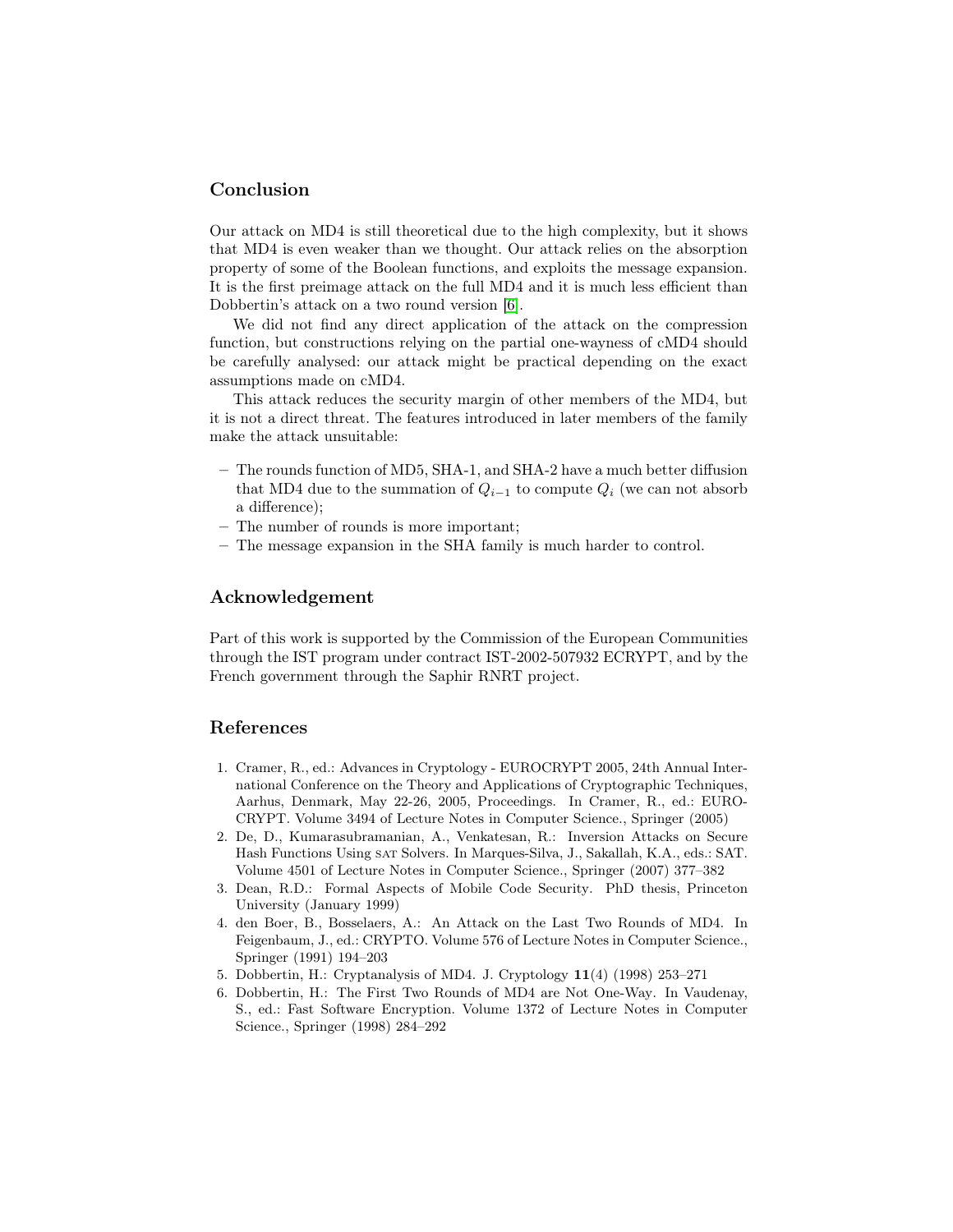## Conclusion

Our attack on MD4 is still theoretical due to the high complexity, but it shows that MD4 is even weaker than we thought. Our attack relies on the absorption property of some of the Boolean functions, and exploits the message expansion. It is the first preimage attack on the full MD4 and it is much less efficient than Dobbertin's attack on a two round version [\[6\]](#page-13-1).

We did not find any direct application of the attack on the compression function, but constructions relying on the partial one-wayness of cMD4 should be carefully analysed: our attack might be practical depending on the exact assumptions made on cMD4.

This attack reduces the security margin of other members of the MD4, but it is not a direct threat. The features introduced in later members of the family make the attack unsuitable:

- The rounds function of MD5, SHA-1, and SHA-2 have a much better diffusion that MD4 due to the summation of  $Q_{i-1}$  to compute  $Q_i$  (we can not absorb a difference);
- The number of rounds is more important;
- The message expansion in the SHA family is much harder to control.

### Acknowledgement

Part of this work is supported by the Commission of the European Communities through the IST program under contract IST-2002-507932 ECRYPT, and by the French government through the Saphir RNRT project.

## References

- <span id="page-13-5"></span>1. Cramer, R., ed.: Advances in Cryptology - EUROCRYPT 2005, 24th Annual International Conference on the Theory and Applications of Cryptographic Techniques, Aarhus, Denmark, May 22-26, 2005, Proceedings. In Cramer, R., ed.: EURO-CRYPT. Volume 3494 of Lecture Notes in Computer Science., Springer (2005)
- <span id="page-13-3"></span>2. De, D., Kumarasubramanian, A., Venkatesan, R.: Inversion Attacks on Secure Hash Functions Using sat Solvers. In Marques-Silva, J., Sakallah, K.A., eds.: SAT. Volume 4501 of Lecture Notes in Computer Science., Springer (2007) 377–382
- <span id="page-13-4"></span>3. Dean, R.D.: Formal Aspects of Mobile Code Security. PhD thesis, Princeton University (January 1999)
- <span id="page-13-2"></span>4. den Boer, B., Bosselaers, A.: An Attack on the Last Two Rounds of MD4. In Feigenbaum, J., ed.: CRYPTO. Volume 576 of Lecture Notes in Computer Science., Springer (1991) 194–203
- <span id="page-13-0"></span>5. Dobbertin, H.: Cryptanalysis of MD4. J. Cryptology 11(4) (1998) 253–271
- <span id="page-13-1"></span>6. Dobbertin, H.: The First Two Rounds of MD4 are Not One-Way. In Vaudenay, S., ed.: Fast Software Encryption. Volume 1372 of Lecture Notes in Computer Science., Springer (1998) 284–292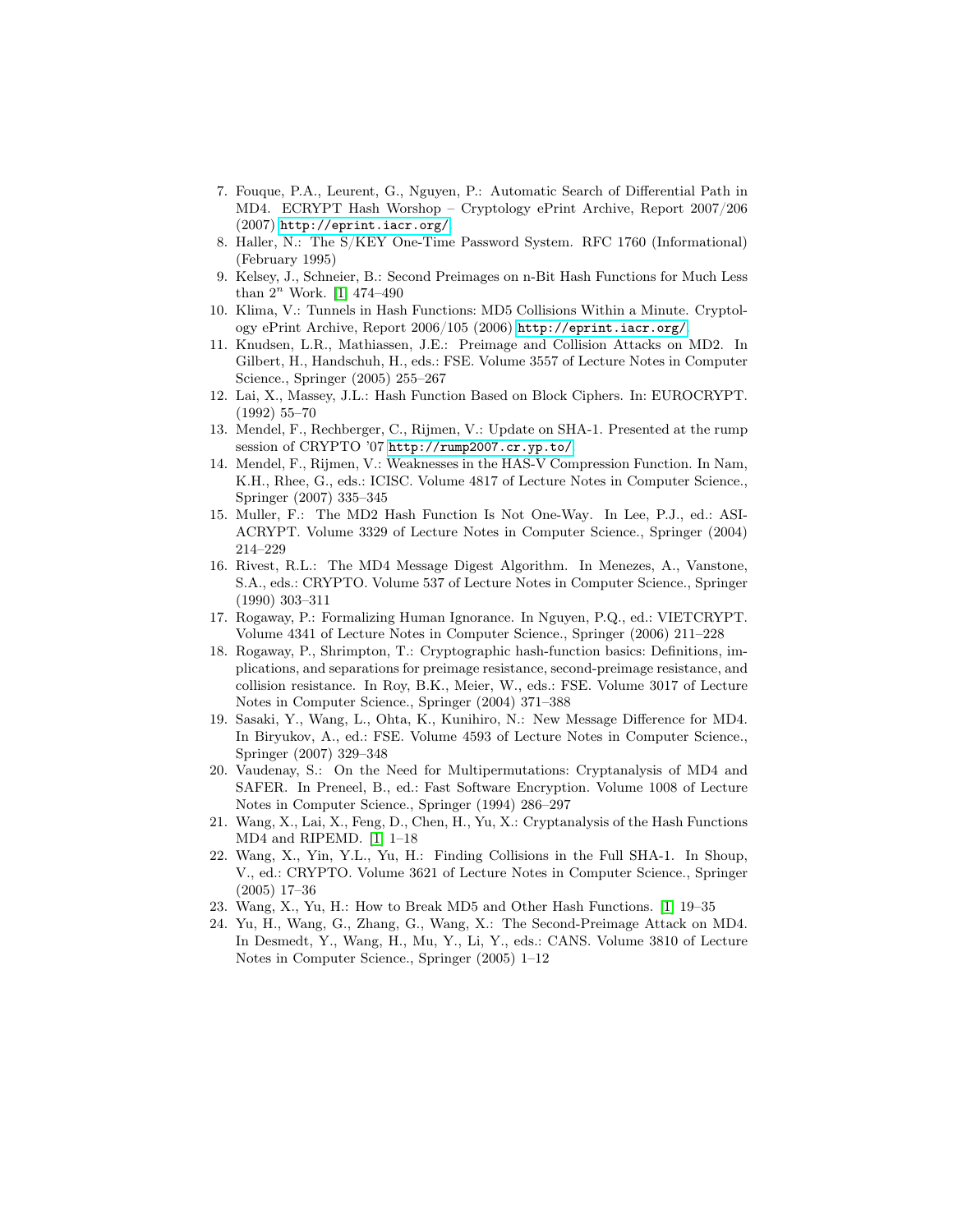- <span id="page-14-15"></span>7. Fouque, P.A., Leurent, G., Nguyen, P.: Automatic Search of Differential Path in MD4. ECRYPT Hash Worshop – Cryptology ePrint Archive, Report 2007/206 (2007) <http://eprint.iacr.org/>.
- <span id="page-14-8"></span>8. Haller, N.: The S/KEY One-Time Password System. RFC 1760 (Informational) (February 1995)
- <span id="page-14-14"></span>9. Kelsey, J., Schneier, B.: Second Preimages on n-Bit Hash Functions for Much Less than  $2^n$  Work. [\[1\]](#page-13-5) 474-490
- <span id="page-14-5"></span>10. Klima, V.: Tunnels in Hash Functions: MD5 Collisions Within a Minute. Cryptology ePrint Archive, Report 2006/105 (2006) <http://eprint.iacr.org/>.
- <span id="page-14-10"></span>11. Knudsen, L.R., Mathiassen, J.E.: Preimage and Collision Attacks on MD2. In Gilbert, H., Handschuh, H., eds.: FSE. Volume 3557 of Lecture Notes in Computer Science., Springer (2005) 255–267
- <span id="page-14-16"></span>12. Lai, X., Massey, J.L.: Hash Function Based on Block Ciphers. In: EUROCRYPT. (1992) 55–70
- <span id="page-14-7"></span>13. Mendel, F., Rechberger, C., Rijmen, V.: Update on SHA-1. Presented at the rump session of CRYPTO '07 <http://rump2007.cr.yp.to/>.
- <span id="page-14-17"></span>14. Mendel, F., Rijmen, V.: Weaknesses in the HAS-V Compression Function. In Nam, K.H., Rhee, G., eds.: ICISC. Volume 4817 of Lecture Notes in Computer Science., Springer (2007) 335–345
- <span id="page-14-9"></span>15. Muller, F.: The MD2 Hash Function Is Not One-Way. In Lee, P.J., ed.: ASI-ACRYPT. Volume 3329 of Lecture Notes in Computer Science., Springer (2004) 214–229
- <span id="page-14-12"></span>16. Rivest, R.L.: The MD4 Message Digest Algorithm. In Menezes, A., Vanstone, S.A., eds.: CRYPTO. Volume 537 of Lecture Notes in Computer Science., Springer (1990) 303–311
- <span id="page-14-1"></span>17. Rogaway, P.: Formalizing Human Ignorance. In Nguyen, P.Q., ed.: VIETCRYPT. Volume 4341 of Lecture Notes in Computer Science., Springer (2006) 211–228
- <span id="page-14-0"></span>18. Rogaway, P., Shrimpton, T.: Cryptographic hash-function basics: Definitions, implications, and separations for preimage resistance, second-preimage resistance, and collision resistance. In Roy, B.K., Meier, W., eds.: FSE. Volume 3017 of Lecture Notes in Computer Science., Springer (2004) 371–388
- <span id="page-14-3"></span>19. Sasaki, Y., Wang, L., Ohta, K., Kunihiro, N.: New Message Difference for MD4. In Biryukov, A., ed.: FSE. Volume 4593 of Lecture Notes in Computer Science., Springer (2007) 329–348
- <span id="page-14-11"></span>20. Vaudenay, S.: On the Need for Multipermutations: Cryptanalysis of MD4 and SAFER. In Preneel, B., ed.: Fast Software Encryption. Volume 1008 of Lecture Notes in Computer Science., Springer (1994) 286–297
- <span id="page-14-2"></span>21. Wang, X., Lai, X., Feng, D., Chen, H., Yu, X.: Cryptanalysis of the Hash Functions MD4 and RIPEMD. [\[1\]](#page-13-5) 1–18
- <span id="page-14-6"></span>22. Wang, X., Yin, Y.L., Yu, H.: Finding Collisions in the Full SHA-1. In Shoup, V., ed.: CRYPTO. Volume 3621 of Lecture Notes in Computer Science., Springer (2005) 17–36
- <span id="page-14-4"></span>23. Wang, X., Yu, H.: How to Break MD5 and Other Hash Functions. [\[1\]](#page-13-5) 19–35
- <span id="page-14-13"></span>24. Yu, H., Wang, G., Zhang, G., Wang, X.: The Second-Preimage Attack on MD4. In Desmedt, Y., Wang, H., Mu, Y., Li, Y., eds.: CANS. Volume 3810 of Lecture Notes in Computer Science., Springer (2005) 1–12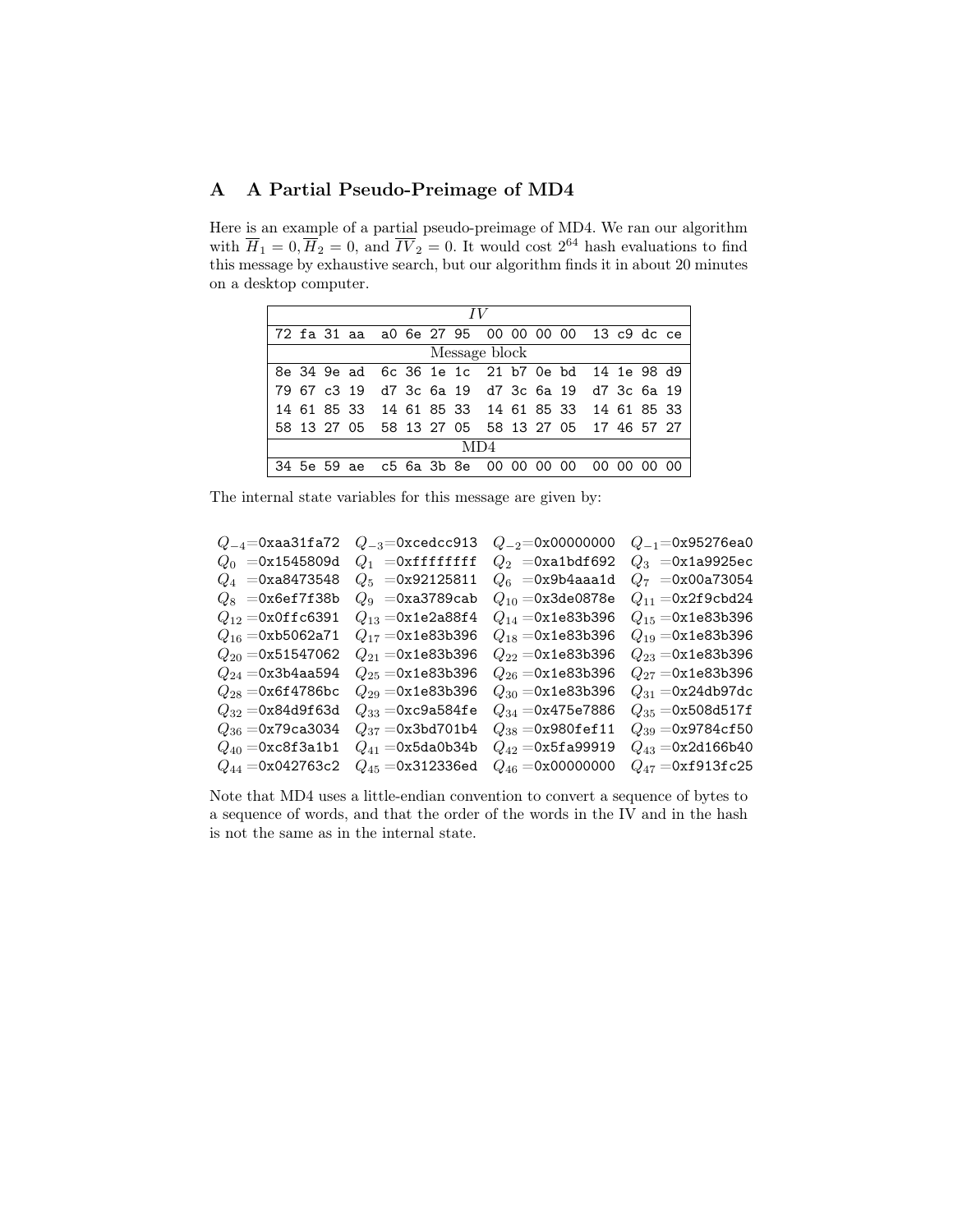## <span id="page-15-0"></span>A A Partial Pseudo-Preimage of MD4

Here is an example of a partial pseudo-preimage of MD4. We ran our algorithm with  $\overline{H}_1 = 0, \overline{H}_2 = 0$ , and  $\overline{IV}_2 = 0$ . It would cost  $2^{64}$  hash evaluations to find this message by exhaustive search, but our algorithm finds it in about 20 minutes on a desktop computer.

|     |               |  |  |  |  |  |  | 72 fa 31 aa a0 6e 27 95 00 00 00 00 13 c9 dc ce |  |             |  |  |
|-----|---------------|--|--|--|--|--|--|-------------------------------------------------|--|-------------|--|--|
|     | Message block |  |  |  |  |  |  |                                                 |  |             |  |  |
|     |               |  |  |  |  |  |  | 8e 34 9e ad 6c 36 1e 1c 21 b7 0e bd 14 1e 98 d9 |  |             |  |  |
|     |               |  |  |  |  |  |  | 79 67 c3 19 d7 3c 6a 19 d7 3c 6a 19 d7 3c 6a 19 |  |             |  |  |
|     |               |  |  |  |  |  |  | 14 61 85 33 14 61 85 33 14 61 85 33 14 61 85 33 |  |             |  |  |
|     |               |  |  |  |  |  |  | 58 13 27 05 58 13 27 05 58 13 27 05 17 46 57 27 |  |             |  |  |
| MD4 |               |  |  |  |  |  |  |                                                 |  |             |  |  |
|     |               |  |  |  |  |  |  | 34 5e 59 ae c5 6a 3b 8e 00 00 00 00             |  | 00 00 00 00 |  |  |

The internal state variables for this message are given by:

| $Q_{-3}$ =0xcedcc913           | $Q_{-2}$ =0x00000000   | $Q_{-1}$ =0x95276ea0          |
|--------------------------------|------------------------|-------------------------------|
| $Q_1$ =0xffffffff              | $Q_2$ =0xa1bdf692      | $Q_3 = 0$ x1a9925ec           |
| $Q_5 = 0 \times 92125811$      | $Q_6$ =0x9b4aaa1d      | $Q_7 = 0x00a73054$            |
| $Q_9 = 0$ xa3789cab            | $Q_{10} = 0x3$ de0878e | $Q_{11} = 0x2f9cbd24$         |
| $Q_{13} = 0x1e2a88f4$          | $Q_{14} = 0x1e83b396$  | $Q_{15} = 0x1e83b396$         |
| $Q_{17} = 0x1e83b396$          | $Q_{18} = 0x1e83b396$  | $Q_{19} = 0x1e83b396$         |
| $Q_{21} = 0x1e83b396$          | $Q_{22} = 0x1e83b396$  | $Q_{23} = 0x1e83b396$         |
| $Q_{25} = 0x1e83b396$          | $Q_{26} = 0x1e83b396$  | $Q_{27} = 0x1e83b396$         |
| $Q_{29} = 0x1e83b396$          | $Q_{30} = 0x1e83b396$  | $Q_{31} = 0x24db97dc$         |
| $Q_{33} = 0$ xc $9$ a $584$ fe | $Q_{34} = 0x475e7886$  | $Q_{35} = 0x508d517f$         |
| $Q_{37} = 0x3bd701b4$          | $Q_{38} = 0x980$ fef11 | $Q_{39} = 0x9784$ cf50        |
| $Q_{41} = 0x5da0b34b$          | $Q_{42} = 0x5fa99919$  | $Q_{43} = 0x2d166b40$         |
| $Q_{45} = 0x312336$ ed         | $Q_{46} = 0x00000000$  | $Q_{47} = 0 \times 1913$ fc25 |
|                                |                        |                               |

Note that MD4 uses a little-endian convention to convert a sequence of bytes to a sequence of words, and that the order of the words in the IV and in the hash is not the same as in the internal state.